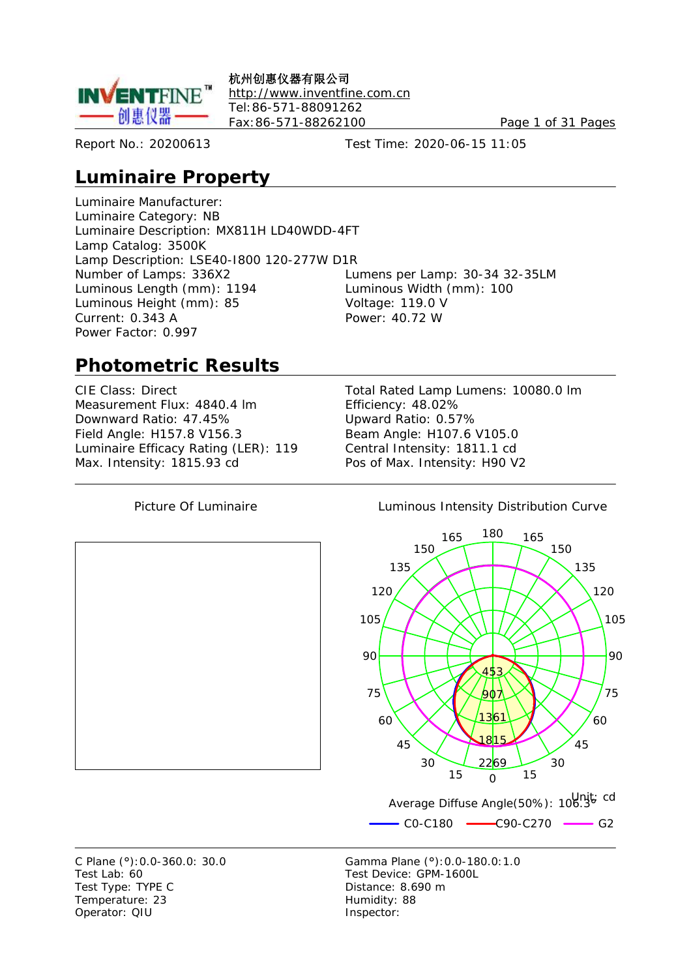

杭州创惠仪器有限公司 <http://www.inventfine.com.cn> Tel:86-571-88091262 Fax:86-571-88262100 Page 1 of 31 Pages

Report No.: 20200613 Test Time: 2020-06-15 11:05

# **Luminaire Property**

Luminaire Manufacturer: Luminaire Category: NB Luminaire Description: MX811H LD40WDD-4FT Lamp Catalog: 3500K Lamp Description: LSE40-I800 120-277W D1R Number of Lamps: 336X2 Lumens per Lamp: 30-34 32-35LM Luminous Length (mm): 1194 Luminous Width (mm): 100 Luminous Height (mm): 85 Voltage: 119.0 V Current: 0.343 A Power: 40.72 W Power Factor: 0.997

# **Photometric Results**

Measurement Flux: 4840.4 lm Efficiency: 48.02% Downward Ratio: 47.45% Upward Ratio: 0.57% Field Angle: H157.8 V156.3 Beam Angle: H107.6 V105.0 Luminaire Efficacy Rating (LER): 119 Central Intensity: 1811.1 cd Max. Intensity: 1815.93 cd Pos of Max. Intensity: H90 V2

CIE Class: Direct Total Rated Lamp Lumens: 10080.0 lm







Test Lab: 60 Test Device: GPM-1600L Test Type: TYPE C Distance: 8.690 m Temperature: 23 Humidity: 88 Operator: QIU inspector: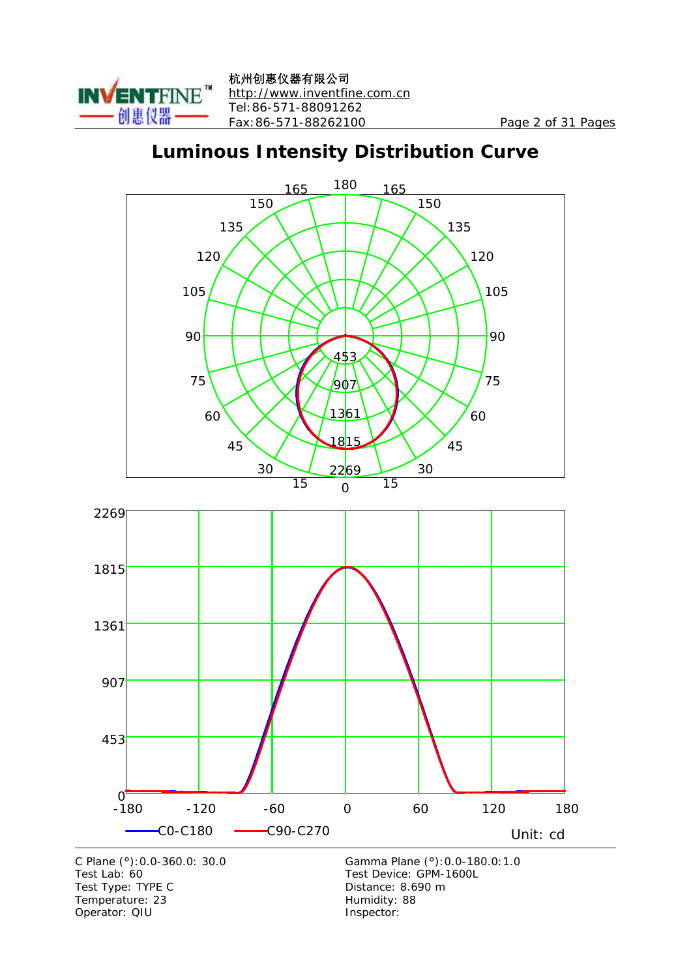

杭州创惠仪器有限公司 <http://www.inventfine.com.cn> Tel:86-571-88091262 Fax:86-571-88262100 Page 2 of 31 Pages

# **Luminous Intensity Distribution Curve**



Test Type: TYPE C<br>
Temperature: 23<br>
Temperature: 23<br>
Distance: 8.690 m Temperature: 23 Operator: QIU Inspector: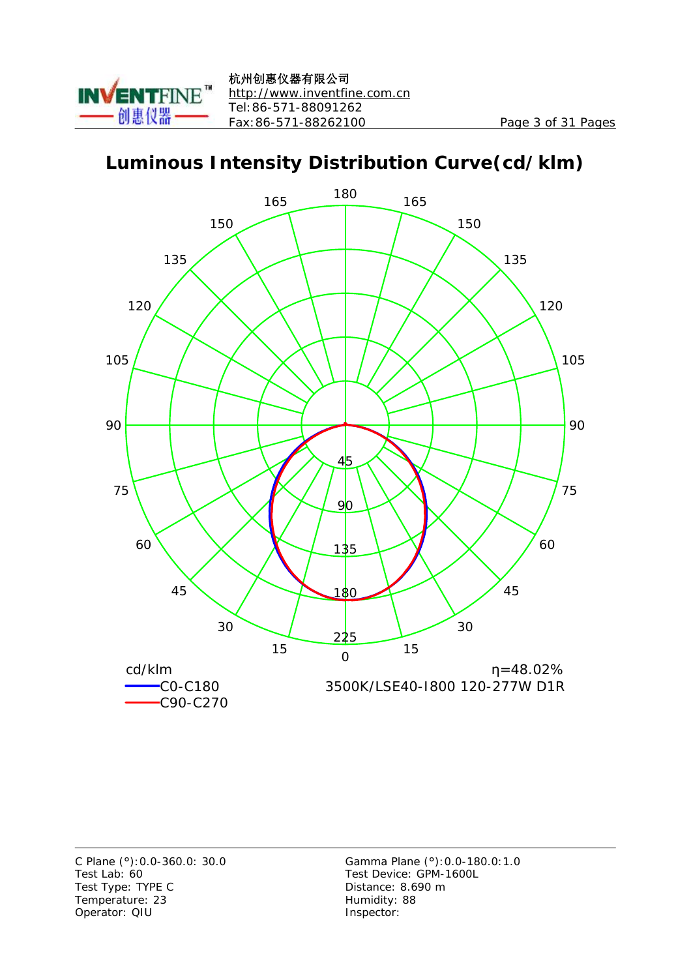

# **Luminous Intensity Distribution Curve(cd/klm)**



Test Type: TYPE C Distance: 8.690 m Temperature: 23 Humidity: 88 Operator: QIU Inspector: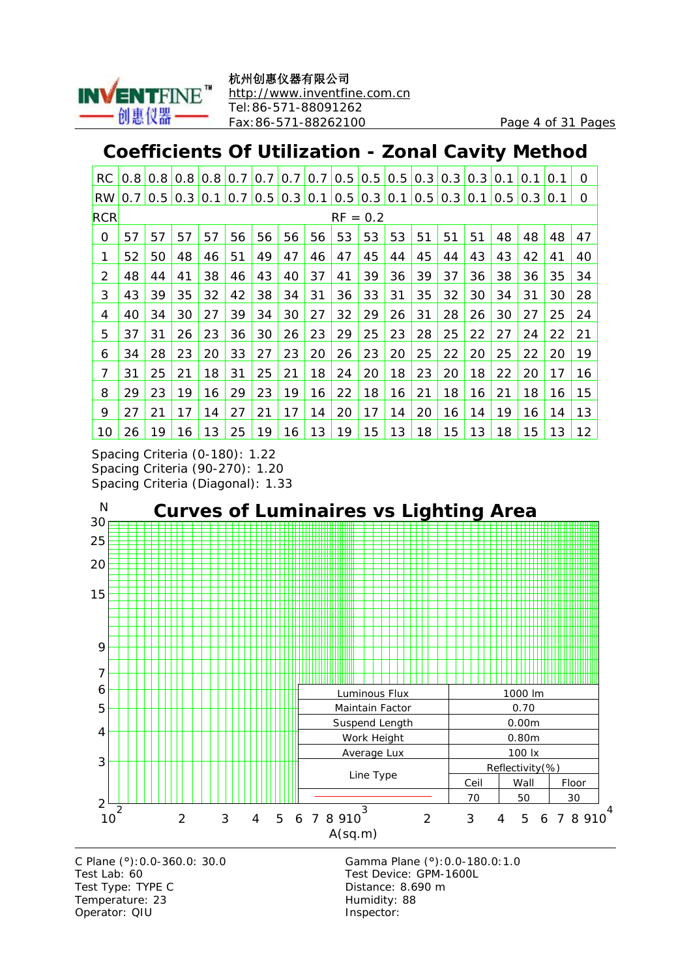

# **Coefficients Of Utilization - Zonal Cavity Method**

| RC.        | 0.8              | 0.8 | 0.8           | 0.8 | 0.7 |                                                                                             | 0.7 0.7 | 0.7 | 0.5        | $\vert 0.5 \vert$ | 0.5 | 0.3 | 0.3 | 0.3 | 0.1           | 0.11    | 0.1 | 0  |
|------------|------------------|-----|---------------|-----|-----|---------------------------------------------------------------------------------------------|---------|-----|------------|-------------------|-----|-----|-----|-----|---------------|---------|-----|----|
| <b>RW</b>  | 0.7 <sub>1</sub> |     | $0.5$ 0.3 0.1 |     | 0.7 | $\vert 0.5 \vert 0.3 \vert 0.1 \vert 0.5 \vert 0.3 \vert 0.1 \vert 0.5 \vert 0.3 \vert 0.1$ |         |     |            |                   |     |     |     |     | $0.5^{\circ}$ | 0.3 0.1 |     | 0  |
| <b>RCR</b> |                  |     |               |     |     |                                                                                             |         |     | $RF = 0.2$ |                   |     |     |     |     |               |         |     |    |
| 0          | 57               | 57  | 57            | 57  | 56  | 56                                                                                          | 56      | 56  | 53         | 53                | 53  | 51  | 51  | 51  | 48            | 48      | 48  | 47 |
| 1          | 52               | 50  | 48            | 46  | 51  | 49                                                                                          | 47      | 46  | 47         | 45                | 44  | 45  | 44  | 43  | 43            | 42      | 41  | 40 |
| 2          | 48               | 44  | 41            | 38  | 46  | 43                                                                                          | 40      | 37  | 41         | 39                | 36  | 39  | 37  | 36  | 38            | 36      | 35  | 34 |
| 3          | 43               | 39  | 35            | 32  | 42  | 38                                                                                          | 34      | 31  | 36         | 33                | 31  | 35  | 32  | 30  | 34            | 31      | 30  | 28 |
| 4          | 40               | 34  | 30            | 27  | 39  | 34                                                                                          | 30      | 27  | 32         | 29                | 26  | 31  | 28  | 26  | 30            | 27      | 25  | 24 |
| 5          | 37               | 31  | 26            | 23  | 36  | 30                                                                                          | 26      | 23  | 29         | 25                | 23  | 28  | 25  | 22  | 27            | 24      | 22  | 21 |
| 6          | 34               | 28  | 23            | 20  | 33  | 27                                                                                          | 23      | 20  | 26         | 23                | 20  | 25  | 22  | 20  | 25            | 22      | 20  | 19 |
| 7          | 31               | 25  | 21            | 18  | 31  | 25                                                                                          | 21      | 18  | 24         | 20                | 18  | 23  | 20  | 18  | 22            | 20      | 17  | 16 |
| 8          | 29               | 23  | 19            | 16  | 29  | 23                                                                                          | 19      | 16  | 22         | 18                | 16  | 21  | 18  | 16  | 21            | 18      | 16  | 15 |
| 9          | 27               | 21  | 17            | 14  | 27  | 21                                                                                          | 17      | 14  | 20         | 17                | 14  | 20  | 16  | 14  | 19            | 16      | 14  | 13 |
| 10         | 26               | 19  | 16            | 13  | 25  | 19                                                                                          | 16      | 13  | 19         | 15                | 13  | 18  | 15  | 13  | 18            | 15      | 13  | 12 |

Spacing Criteria (0-180): 1.22 Spacing Criteria (90-270): 1.20 Spacing Criteria (Diagonal): 1.33



Test Lab: 60 Test Device: GPM-1600L Test Type: TYPE C Distance: 8.690 m Temperature: 23 Humidity: 88 Operator: QIU inspector: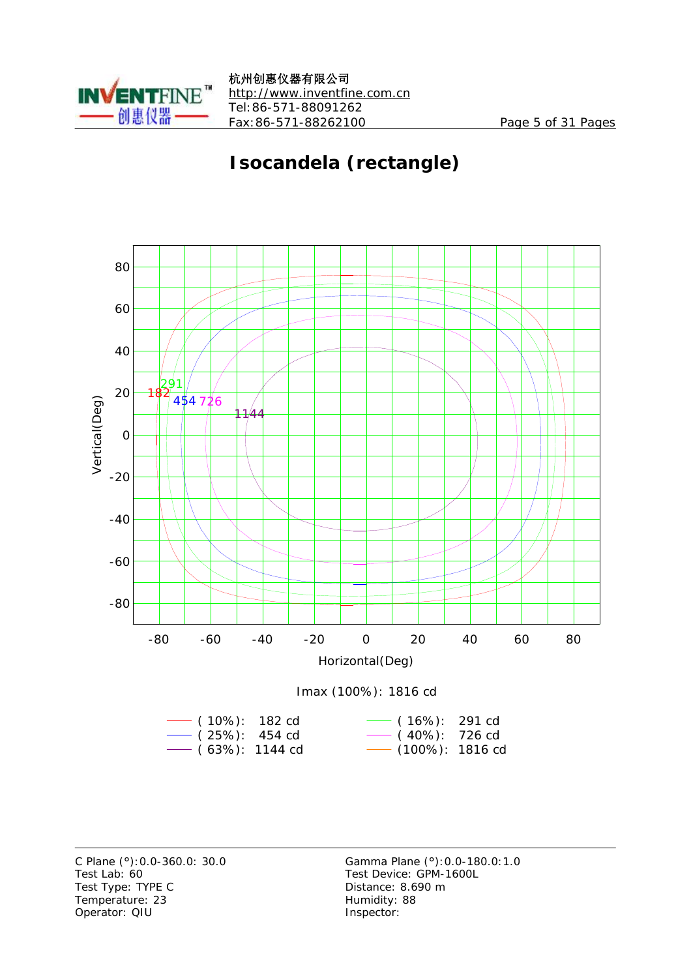

# **Isocandela (rectangle)**



Test Lab: 60 Test Device: GPM-1600L Test Type: TYPE C Distance: 8.690 m Temperature: 23 Humidity: 88 Operator: QIU Inspector: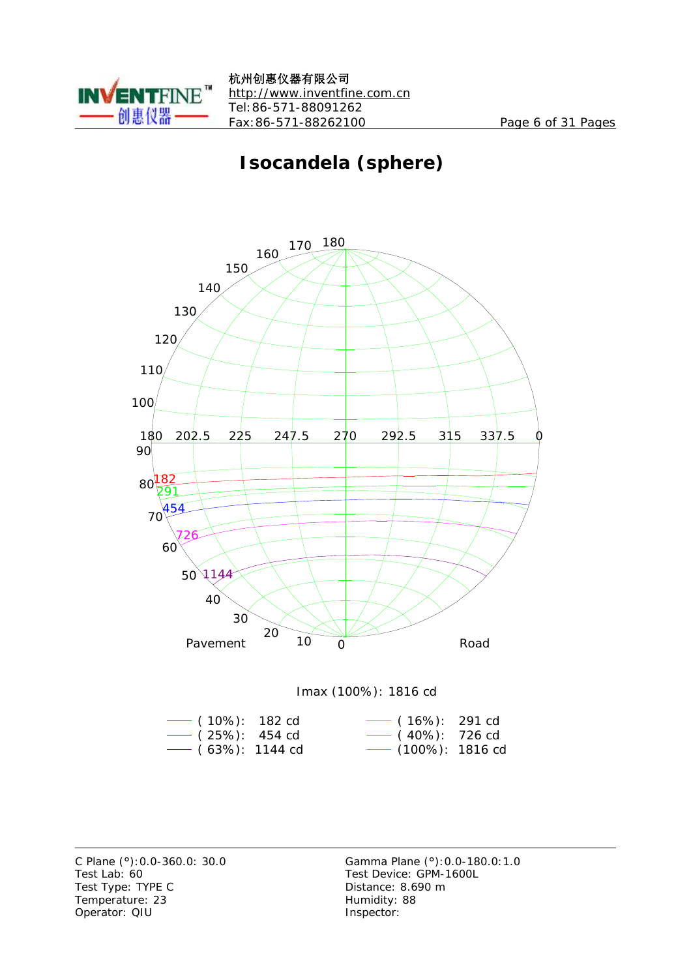

# **Isocandela (sphere)**



Imax (100%): 1816 cd

| $-$ (10%): 182 cd     | $\sim$ (16%): 291 cd |  |
|-----------------------|----------------------|--|
| $\sim$ (25%): 454 cd  | $\sim$ (40%): 726 cd |  |
| $\sim$ (63%): 1144 cd | - (100%): 1816 cd    |  |

Test Lab: 60 Test Device: GPM-1600L Test Type: TYPE C Distance: 8.690 m Temperature: 23 Humidity: 88 Operator: QIU Inspector: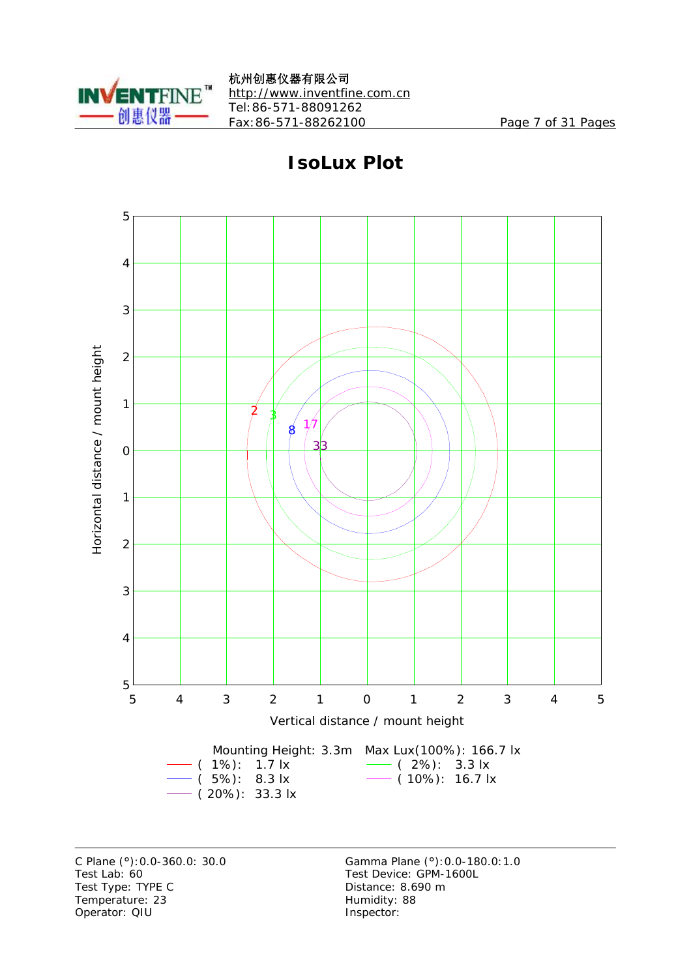



**IsoLux Plot**

Test Lab: 60 Test Device: GPM-1600L Test Type: TYPE C Distance: 8.690 m Temperature: 23 Humidity: 88 Operator: QIU Inspector: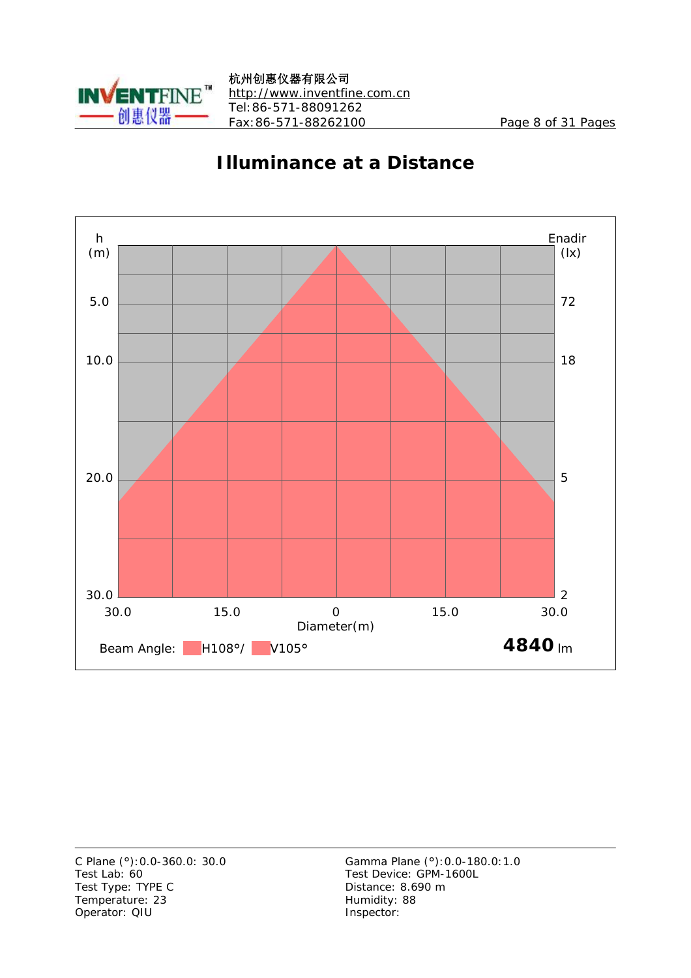



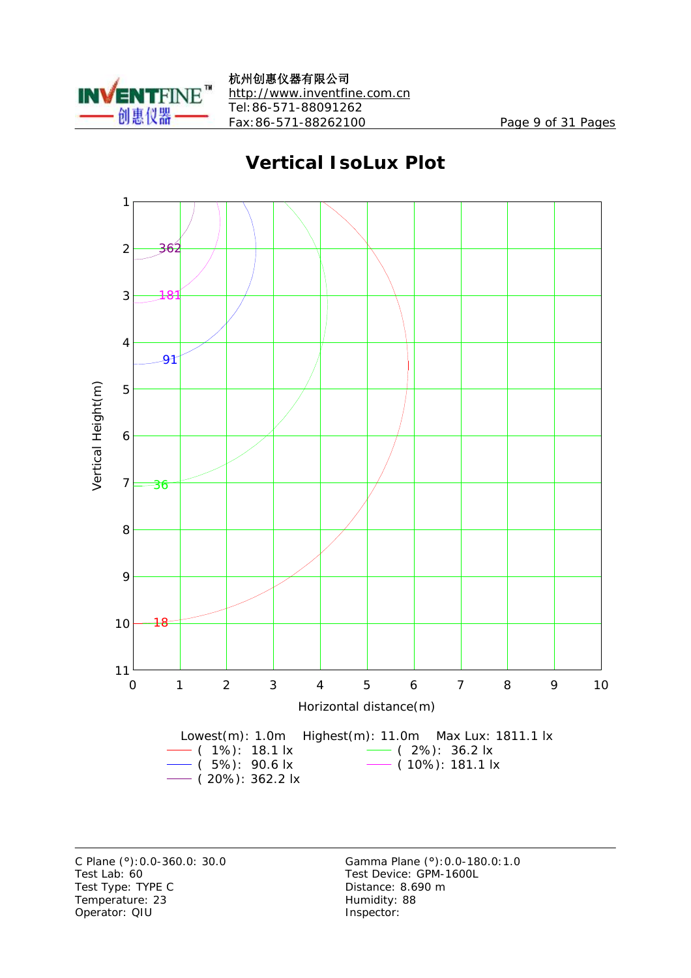

### **Vertical IsoLux Plot**



Test Lab: 60 Test Device: GPM-1600L Test Type: TYPE C Distance: 8.690 m Temperature: 23 Humidity: 88 Operator: QIU Inspector: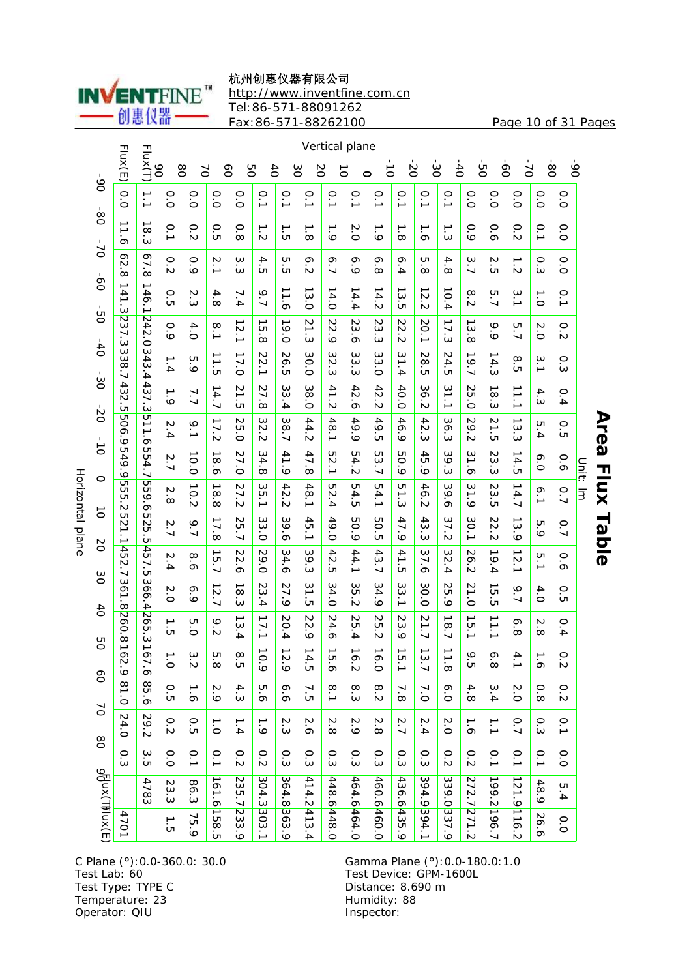杭州创惠仪器有限公司



<http://www.inventfine.com.cn> Tel:86-571-88091262

Fax:86-571-88262100 Page 10 of 31 Pages

|                   |                 |                                 | Vertical plane                  |                               |                 |                                |                                        |                                   |                                 |                                 |                     |                                 |                                           |                       |                                 |                                        |                                |                    |                                 |                                       |                   |          |
|-------------------|-----------------|---------------------------------|---------------------------------|-------------------------------|-----------------|--------------------------------|----------------------------------------|-----------------------------------|---------------------------------|---------------------------------|---------------------|---------------------------------|-------------------------------------------|-----------------------|---------------------------------|----------------------------------------|--------------------------------|--------------------|---------------------------------|---------------------------------------|-------------------|----------|
|                   | $06 -$          | Flux(E)                         | Flux(T)<br>8O                   | 80                            | $\breve{\circ}$ | 6o                             | 8g                                     | $\overline{40}$                   | δg                              | 2O                              | $\vec{0}$           | $\circ$                         | $\frac{1}{\sigma}$                        | $\overline{c}$        | $\infty$                        | $-40$                                  | ġ                              | ġ                  | 2.                              | $\overline{8}$                        | $06 -$            |          |
|                   |                 | 0.0                             | $\vec{=}$                       | o.o                           | o.o             | o.o                            | o.o                                    | $\overline{0}$                    | $\overline{0}$                  | o.1                             | $\overline{0}$ .1   | $\overline{0}$ .1               | o.1                                       | $\overline{0}$        | o.1                             | o.<br>J                                | o.o                            | $\overline{0}$     | 0.0                             | $\frac{0}{0}$                         | $\frac{0}{0}$     |          |
|                   | $\frac{6}{90}$  | ∸<br>∸<br>ä                     | ∸<br>$\infty$<br>ن              | $\overline{0}$ .1             | o.s             | о<br>б                         | 0.8                                    | ∸<br>j٧                           | ∸<br>UП                         | ∸<br>$\infty$                   | د<br>ت              | 2.0                             | $\frac{1}{6}$                             | ∸<br>$\infty$         | $\overline{9}$                  | ∸<br>ن                                 | 0.9                            | 0.6                | 0.2                             | $\overline{0}$ .1                     | $\frac{0}{0}$     |          |
|                   | $\sim$          | 62<br>$\infty$                  | 67.<br>$\infty$                 | $\overline{c}$                | 0<br>$\bullet$  | $\frac{2}{1}$                  | ω<br>نة                                | 4<br>UП                           | UТ<br>cл                        | $\mathbf{e}$<br>.<br>N          | 6.7                 | 6.9                             | ò<br>$\infty$                             | ō.<br>4               | UП<br>$\infty$                  | 4.8                                    | بە<br>$\overline{\phantom{0}}$ | N<br>cл            | $\vec{z}$                       | o.3                                   | $\frac{0}{0}$     |          |
|                   | ģ-              | 141.3                           | ∸<br>46.1                       | 0.5                           | N<br>ω          | 4.8                            | 7.4                                    | 9.7                               | $\vec{=}$<br>$\sigma$           | ∸<br>س<br>்                     | ∸<br>4.0            | ∸<br>4.<br>∔                    | ∸<br>4.2                                  | ∸<br>ω<br>C           | ∸<br>N<br>$\mathbf{v}$          | ∸<br>0.4                               | ∞<br>.<br>N                    | UТ<br>$\ddot{ }$   | 3.1                             | $\frac{1}{\circ}$                     | o.1               |          |
|                   | ġ               | 237.3                           |                                 | 0.9                           | 4.0             | $\frac{8}{1}$                  | ∸<br>$\frac{2}{1}$                     | →<br>'n<br>$\stackrel{.}{\infty}$ | ∸<br>9.0                        | 21.3                            | 22.<br>.<br>م       | N<br>ة.<br>9                    | N<br>نبَ<br>نە                            | N<br>Ņ<br>Z           | 20.<br>$\overline{\phantom{a}}$ | 17.3                                   | ∸<br>ω<br>ō٥                   | م<br>ە             | 5.7                             | Ņ<br>ö                                | ō.<br>.<br>N      |          |
|                   | $\ddot{\sigma}$ | 338<br>$\ddot{ }$               | 242.0343.4                      | ∸<br>$\dot{4}$                | UТ<br>.<br>م    | $\overline{\phantom{0}}$<br>'n | 17.0                                   | N<br>$\frac{2}{1}$                | 26<br>cл                        | 30.0                            | 32<br>ω             | ω<br>ω<br>نة                    | 33.0                                      | 31<br>.<br>4          | 28<br>'n                        | N<br>4.5                               | 19.7                           | ∸<br>4.3           | œ<br>'n                         | ω<br>ℶ                                | ن<br>و:           |          |
|                   | မ်း             | 432                             | 437.3                           | $\overline{6}$                | 7.7             | ∸<br> 4.7                      | 21.5                                   | N<br>7.8                          | ω<br>ω<br>4                     | 38.0                            | 41.2                | 42<br>$\sigma$                  | 42.<br>Ń                                  | 40.0                  | 36.<br>.<br>N                   | 31.1                                   | N<br>UТ<br>ö                   | ∸<br>$\infty$<br>ω | ∸<br>$\overline{11}$            | 4.3                                   | 0.4               |          |
|                   | 8               | òп<br>909                       | 511.6                           | N<br>4                        | 9.1             | 17.2                           | 25.0                                   | $\frac{8}{2}$<br>.<br>N           | 38.7                            | 44.2                            | 18.1                | 49.9                            | 49.5                                      | 46.<br>ة              | $\frac{4}{5}$<br>نة             | 36.3                                   | 29.<br>.<br>N                  | 21<br>òп           | ∸<br>$\overline{\omega}$<br>نیٰ | UТ<br>.<br>4                          | $\circ$<br>'n     |          |
|                   | $\frac{1}{5}$   | <u>ن</u><br>6.665               | 554.7                           | 2.7                           | ∸<br>o.o        | ∸<br>8.6                       | 27.0                                   | 34.8                              | 41.9                            | 47.8                            | UП<br>$\frac{2}{1}$ | 54.2                            | 53.7                                      | 50.9                  | 45<br>ة                         | 39.3                                   | 31.6                           | Ņ<br>ω<br>ω        | ∸<br>4.5                        | ᡐ<br>ö                                | 0.6               |          |
| <b>Horizontal</b> | 0               | <u>ព្ន</u><br>cл                | 9g<br>$\frac{9.6}{6}$           | Z<br>$\infty$                 | 10.2            | $\vec{8}$<br>$\infty$          | 27.2                                   | 35.1                              | 42<br>Z                         | 48.1                            | ΣS<br>4             | 54.<br>'n                       | 54.1                                      | $\overline{a}$<br>نیٰ | 46<br>.<br>N                    | 39.6                                   | $\frac{2}{3}$<br>ة             | 23<br>òп           | 14.7                            | 6.1                                   | 0.7               | Unit: Im |
| plane             | ื่อ             | <u>مأ</u><br><b>521.1</b>       | 525.5                           | 2.7                           | 9.7             | 17.8                           | 25.7                                   | 33.0                              | ω<br>9.6                        | 45.1                            | 49.0                | 50.9                            | <b>50.5</b>                               | 47.9                  | 43<br>س                         | 37.2                                   | 30.1                           | 22<br>Ń            | ∸<br>3.9                        | 5.9                                   | 0.7               |          |
|                   | δ               | 452<br>┙                        | $\frac{4}{5}$<br><u>יז</u><br>פ | N<br>خ.                       | œ<br>ö          | ∸<br>5.7                       | 22.6                                   | 29.0                              | 34.6                            | 39.3                            | 42<br>òп            | 44.1                            | 43.7                                      | 41.5                  | 37<br>$\sigma$                  | 32.4                                   | 26<br>N                        | ∸<br>9.4           | ∸<br>$\frac{2}{1}$              | Б.1                                   | 0.6               |          |
|                   | ပ္ပ             | $\overline{\mathbf{c}}$<br>61.8 | 366.4                           | 2.0                           | 6.9             | ∸<br>2.7                       | ∸<br>$\infty$<br>$\boldsymbol{\omega}$ | N<br>3.4                          | 27.9                            | 31<br>$\mathbf{\dot{c}}$        | 34.0                | ЗS<br>$\mathbf{v}$              | 34.9                                      | 33.1                  | 30.0                            | 25<br>ة                                | 21.0                           | ∸<br>UТ<br>cл      | 9.7                             | 4.0                                   | ō<br>ÙП           |          |
|                   | $\frac{4}{10}$  | 260<br>$\frac{1}{\infty}$       | 265.316                         | $\frac{1}{\alpha}$            | UТ<br>ö         | $\frac{9}{2}$                  | 53<br>.<br>4                           | 17.1                              | 20.<br>$\overline{\mathbf{4}}$  | 22<br>ं०                        | 24.6                | 25<br>.<br>4                    | 25<br>j٧                                  | 23<br>.<br>ت          | 21.7                            | ∸<br>$\overline{\infty}$<br>$\ddot{ }$ | ∸<br>ਯ<br>∸                    | 11.1               | $\circ$<br>$\infty$             | $\boldsymbol{\mathsf{N}}$<br>$\infty$ | 0.4               |          |
|                   | g               | ⊐<br>ò<br>Ņ<br>ق                | 7.6                             | $\overline{\phantom{0}}$<br>ö | ω<br>N          | UТ<br>$\infty$                 | 8<br>UТ                                | →<br>0.9                          | $\overline{\phantom{a}}$<br>2.9 | $\overline{\phantom{a}}$<br>4.5 | →<br>р.<br>О        | $\overline{\phantom{a}}$<br>6.2 | $\overline{\phantom{0}}$<br>$\frac{6}{2}$ | →<br>г. 1             | ∸<br>3.7                        | ∸<br>$\dot{\infty}$                    | $\bullet$<br>UП                | ó<br>$\infty$      | 4<br>ℶ                          | ∸<br>ó                                | $\circ$<br>N      |          |
|                   | eo              | 0.08                            | 85.6                            | $\frac{0}{5}$                 | م :<br>م        | 2.9                            | 4.3                                    | 9.8                               | 6.6                             | $\frac{7}{5}$                   | $\frac{8}{1}$       | $\infty$<br>ىن                  | 8.2                                       | $\frac{7}{8}$         | 7.0                             | $\frac{6}{2}$                          | $\frac{4}{8}$                  | ω<br>4             | 2.0                             | 0.8                                   | 0.2               |          |
|                   | 2               | 24.0                            | 29.2                            | 0.2                           | о<br>G          | $\frac{1}{\circ}$              | 1.4                                    | ∸<br>.<br>م                       | م<br>م                          | $\sim$<br>$\overline{o}$        | N<br>$\infty$       | 2.9                             | 2.8                                       | 2.7                   | 2.4                             | $\frac{2}{0}$                          | $\frac{1}{6}$                  | $\vec{=}$          | $\overline{0}.7$                | o.3                                   | $\overline{0}$ .1 |          |
|                   | $\overline{0}8$ | 0.3                             | ς<br>σ                          | 0.0                           | o.1             | 0.1                            | $\frac{0}{2}$                          | 0.2                               | o.3                             | ن<br>و                          | o.3                 | o.3                             | م.<br>ه                                   | 0.3                   | o.3                             | $\frac{0}{2}$                          | $\frac{0}{2}$                  | $\overline{0}$     | $\overline{0}$ .1               | $\overline{0}$ .1                     | $\frac{0}{0}$     |          |
|                   |                 |                                 | 4783                            | 23.3                          | 86.3            |                                |                                        |                                   |                                 |                                 |                     |                                 |                                           |                       |                                 |                                        |                                |                    |                                 | 48.9                                  | UТ<br>∔           |          |
|                   | d σκι (Thux (E) | 4701                            |                                 | $\vec{5}$                     | 75.9            | 161.6158.5                     | 235.7233.9                             | 304.3303.1                        | 364.8363.9                      | 414.2413.4                      | 448.6448.0          | 464.64464.0                     | 460.6460.0                                | 436.6435.9            | 394.9394.1                      | 339.0 337.9                            | 272.7271.2                     | 199.2196.7         | 121.9116.2                      | 26.6                                  | $\frac{0}{0}$     |          |

C Plane (°): 0.0-360.0: 30.0<br>Test Lab: 60 Test Type: TYPE C<br>
Temperature: 23<br>
Temperature: 23<br>
Distance: 8.690 m Temperature: 23 Operator: QIU Inspector:

Gamma Plane (°): 0.0-180.0: 1.0<br>Test Device: GPM-1600L

# **rea Flu x** ہے<br> **ble**

**A**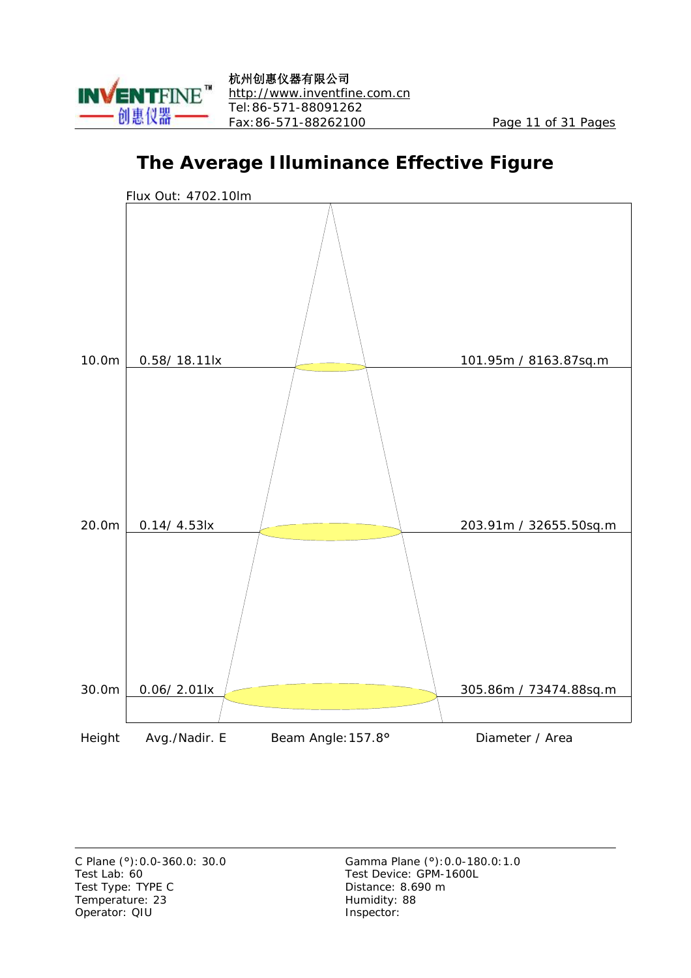

# **The Average Illuminance Effective Figure**

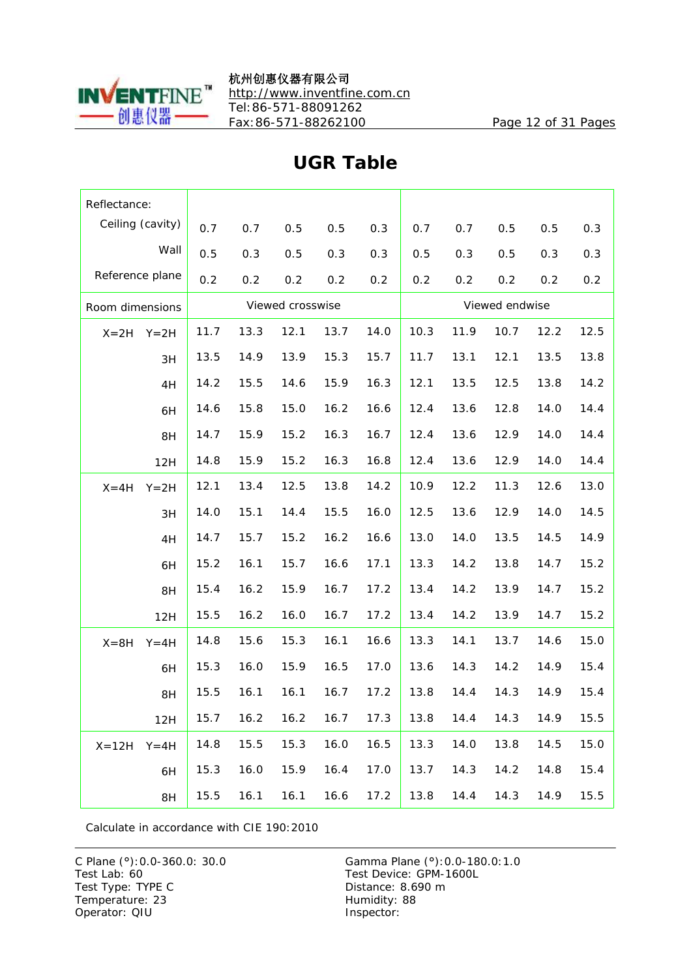

杭州创惠仪器有限公司 <http://www.inventfine.com.cn> Tel:86-571-88091262 Fax:86-571-88262100 Page 12 of 31 Pages

| Reflectance:    |                  |      |      |                  |      |      |      |      |                |      |      |
|-----------------|------------------|------|------|------------------|------|------|------|------|----------------|------|------|
|                 | Ceiling (cavity) | 0.7  | 0.7  | 0.5              | 0.5  | 0.3  | 0.7  | 0.7  | 0.5            | 0.5  | 0.3  |
|                 | Wall             | 0.5  | 0.3  | 0.5              | 0.3  | 0.3  | 0.5  | 0.3  | 0.5            | 0.3  | 0.3  |
| Reference plane |                  | 0.2  | 0.2  | 0.2              | 0.2  | 0.2  | 0.2  | 0.2  | 0.2            | 0.2  | 0.2  |
| Room dimensions |                  |      |      | Viewed crosswise |      |      |      |      | Viewed endwise |      |      |
| $X = 2H$        | $Y = 2H$         | 11.7 | 13.3 | 12.1             | 13.7 | 14.0 | 10.3 | 11.9 | 10.7           | 12.2 | 12.5 |
|                 | 3H               | 13.5 | 14.9 | 13.9             | 15.3 | 15.7 | 11.7 | 13.1 | 12.1           | 13.5 | 13.8 |
|                 | 4H               | 14.2 | 15.5 | 14.6             | 15.9 | 16.3 | 12.1 | 13.5 | 12.5           | 13.8 | 14.2 |
|                 | 6H               | 14.6 | 15.8 | 15.0             | 16.2 | 16.6 | 12.4 | 13.6 | 12.8           | 14.0 | 14.4 |
|                 | 8H               | 14.7 | 15.9 | 15.2             | 16.3 | 16.7 | 12.4 | 13.6 | 12.9           | 14.0 | 14.4 |
|                 | 12H              | 14.8 | 15.9 | 15.2             | 16.3 | 16.8 | 12.4 | 13.6 | 12.9           | 14.0 | 14.4 |
| $X = 4H$        | $Y = 2H$         | 12.1 | 13.4 | 12.5             | 13.8 | 14.2 | 10.9 | 12.2 | 11.3           | 12.6 | 13.0 |
|                 | 3H               | 14.0 | 15.1 | 14.4             | 15.5 | 16.0 | 12.5 | 13.6 | 12.9           | 14.0 | 14.5 |
|                 | 4H               | 14.7 | 15.7 | 15.2             | 16.2 | 16.6 | 13.0 | 14.0 | 13.5           | 14.5 | 14.9 |
|                 | 6H               | 15.2 | 16.1 | 15.7             | 16.6 | 17.1 | 13.3 | 14.2 | 13.8           | 14.7 | 15.2 |
|                 | 8H               | 15.4 | 16.2 | 15.9             | 16.7 | 17.2 | 13.4 | 14.2 | 13.9           | 14.7 | 15.2 |
|                 | 12H              | 15.5 | 16.2 | 16.0             | 16.7 | 17.2 | 13.4 | 14.2 | 13.9           | 14.7 | 15.2 |
| $X = 8H$        | $Y = 4H$         | 14.8 | 15.6 | 15.3             | 16.1 | 16.6 | 13.3 | 14.1 | 13.7           | 14.6 | 15.0 |
|                 | 6H               | 15.3 | 16.0 | 15.9             | 16.5 | 17.0 | 13.6 | 14.3 | 14.2           | 14.9 | 15.4 |
|                 | 8H               | 15.5 | 16.1 | 16.1             | 16.7 | 17.2 | 13.8 | 14.4 | 14.3           | 14.9 | 15.4 |
|                 | 12H              | 15.7 | 16.2 | 16.2             | 16.7 | 17.3 | 13.8 | 14.4 | 14.3           | 14.9 | 15.5 |
| $X = 12H$       | $Y = 4H$         | 14.8 | 15.5 | 15.3             | 16.0 | 16.5 | 13.3 | 14.0 | 13.8           | 14.5 | 15.0 |
|                 | 6H               | 15.3 | 16.0 | 15.9             | 16.4 | 17.0 | 13.7 | 14.3 | 14.2           | 14.8 | 15.4 |
|                 | 8H               | 15.5 | 16.1 | 16.1             | 16.6 | 17.2 | 13.8 | 14.4 | 14.3           | 14.9 | 15.5 |

#### **UGR Table**

Calculate in accordance with CIE 190:2010

Test Type: TYPE C<br>
Temperature: 23<br>
Temperature: 23<br>
Distance: 8.690 m Temperature: 23 Operator: QIU Inspector: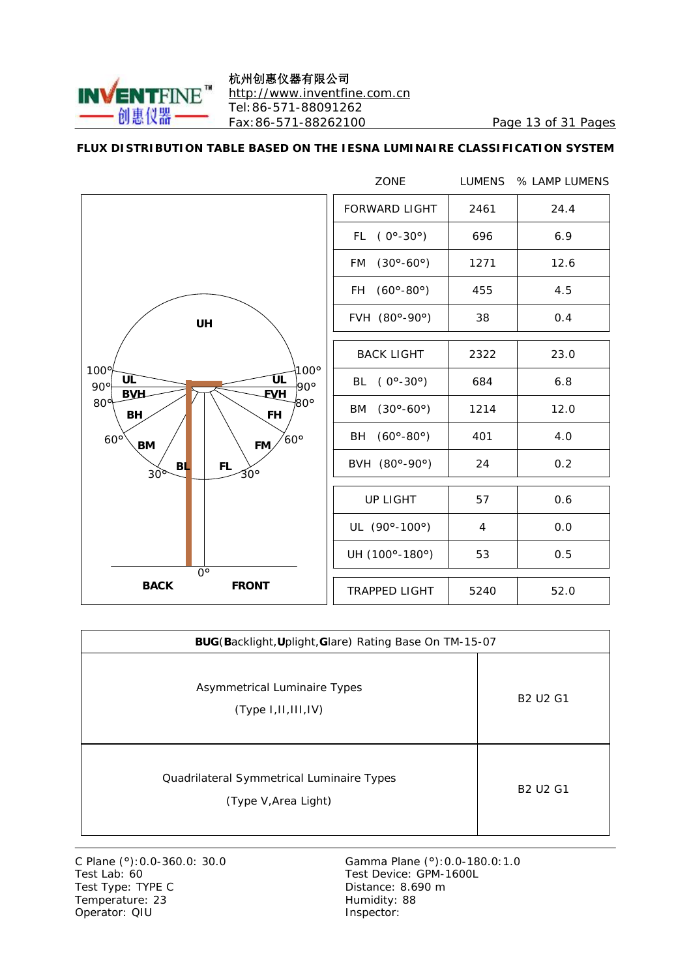

#### 杭州创惠仪器有限公司 <http://www.inventfine.com.cn> Tel:86-571-88091262 Fax:86-571-88262100 Page 13 of 31 Pages

#### **FLUX DISTRIBUTION TABLE BASED ON THE IESNA LUMINAIRE CLASSIFICATION SYSTEM**

|                                                                      | <b>ZONE</b>                              | <b>LUMENS</b> | % LAMP LUMENS |
|----------------------------------------------------------------------|------------------------------------------|---------------|---------------|
|                                                                      | <b>FORWARD LIGHT</b>                     | 2461          | 24.4          |
|                                                                      | FL $(0^{\circ} - 30^{\circ})$            | 696           | 6.9           |
|                                                                      | $(30^{\circ} - 60^{\circ})$<br><b>FM</b> | 1271          | 12.6          |
|                                                                      | $(60^{\circ} - 80^{\circ})$<br>FH -      | 455           | 4.5           |
| <b>UH</b>                                                            | FVH (80°-90°)                            | 38            | 0.4           |
|                                                                      | <b>BACK LIGHT</b>                        | 2322          | 23.0          |
| $100^\circ$<br>$100^{\circ}$<br>ÚL<br>UL<br>90°<br>90°<br><b>EVH</b> | BL $(0^{\circ} - 30^{\circ})$            | 684           | 6.8           |
| <b>BVH</b><br>$80^\circ$<br>$80^\circ$<br>BH<br><b>FH</b>            | BM (30°-60°)                             | 1214          | 12.0          |
| $60^{\circ}$<br>$60^\circ$<br>FM <sub>2</sub><br>BM                  | BH (60°-80°)                             | 401           | 4.0           |
| <b>BL</b><br><b>FL</b><br>30°<br>30 <sup>o</sup>                     | BVH (80°-90°)                            | 24            | 0.2           |
|                                                                      | <b>UP LIGHT</b>                          | 57            | 0.6           |
|                                                                      | UL (90°-100°)                            | 4             | 0.0           |
|                                                                      | UH (100°-180°)                           | 53            | 0.5           |
| $0^{\circ}$<br><b>BACK</b><br><b>FRONT</b>                           | <b>TRAPPED LIGHT</b>                     | 5240          | 52.0          |

| BUG(Backlight, Uplight, Glare) Rating Base On TM-15-07            |                 |  |  |  |  |  |  |  |
|-------------------------------------------------------------------|-----------------|--|--|--|--|--|--|--|
| <b>Asymmetrical Luminaire Types</b><br>(Type I, II, III, IV)      | <b>B2 U2 G1</b> |  |  |  |  |  |  |  |
| Quadrilateral Symmetrical Luminaire Types<br>(Type V, Area Light) | <b>B2 U2 G1</b> |  |  |  |  |  |  |  |

C Plane (°): 0.0-360.0: 30.0<br>Test Lab: 60<br>Test Type: TYPE C Temperature: 23 Operator: QIU Inspector:

Gamma Plane (°): 0.0-180.0: 1.0<br>Test Device: GPM-1600L Distance: 8.690 m<br>Humidity: 88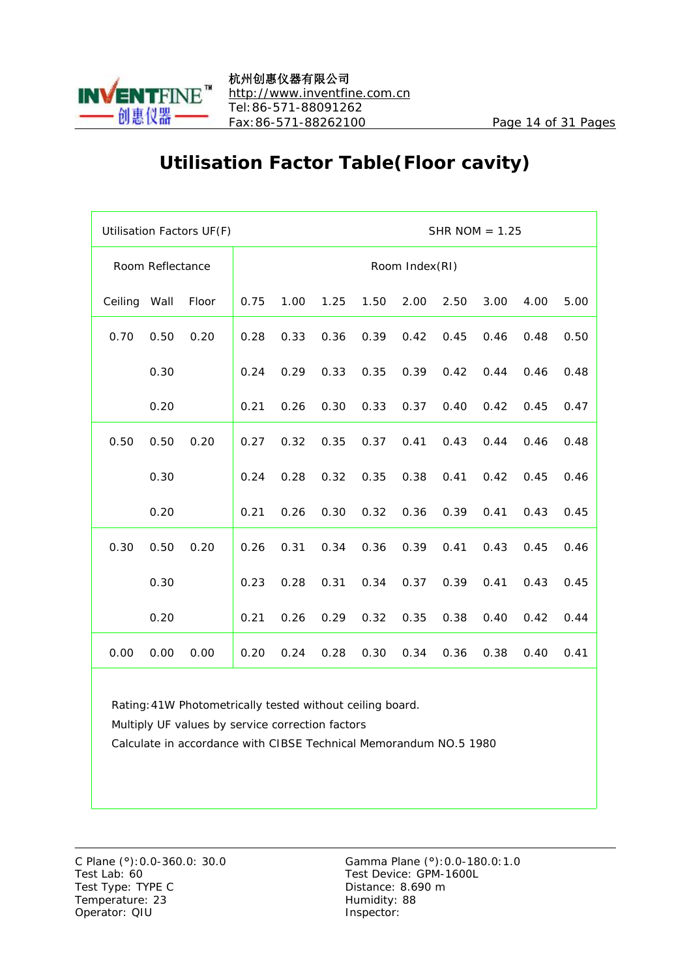

# **Utilisation Factor Table(Floor cavity)**

|         |                         | Utilisation Factors UF(F) |      |      |      |      |                |      | SHR NOM $= 1.25$ |      |      |  |  |  |  |  |  |
|---------|-------------------------|---------------------------|------|------|------|------|----------------|------|------------------|------|------|--|--|--|--|--|--|
|         | <b>Room Reflectance</b> |                           |      |      |      |      | Room Index(RI) |      |                  |      |      |  |  |  |  |  |  |
| Ceiling | Wall                    | Floor                     | 0.75 | 1.00 | 1.25 | 1.50 | 2.00           | 2.50 | 3.00             | 4.00 | 5.00 |  |  |  |  |  |  |
| 0.70    | 0.50                    | 0.20                      | 0.28 | 0.33 | 0.36 | 0.39 | 0.42           | 0.45 | 0.46             | 0.48 | 0.50 |  |  |  |  |  |  |
|         | 0.30                    |                           | 0.24 | 0.29 | 0.33 | 0.35 | 0.39           | 0.42 | 0.44             | 0.46 | 0.48 |  |  |  |  |  |  |
|         | 0.20                    |                           | 0.21 | 0.26 | 0.30 | 0.33 | 0.37           | 0.40 | 0.42             | 0.45 | 0.47 |  |  |  |  |  |  |
| 0.50    | 0.50                    | 0.20                      | 0.27 | 0.32 | 0.35 | 0.37 | 0.41           | 0.43 | 0.44             | 0.46 | 0.48 |  |  |  |  |  |  |
|         | 0.30                    |                           | 0.24 | 0.28 | 0.32 | 0.35 | 0.38           | 0.41 | 0.42             | 0.45 | 0.46 |  |  |  |  |  |  |
|         | 0.20                    |                           | 0.21 | 0.26 | 0.30 | 0.32 | 0.36           | 0.39 | 0.41             | 0.43 | 0.45 |  |  |  |  |  |  |
| 0.30    | 0.50                    | 0.20                      | 0.26 | 0.31 | 0.34 | 0.36 | 0.39           | 0.41 | 0.43             | 0.45 | 0.46 |  |  |  |  |  |  |
|         | 0.30                    |                           | 0.23 | 0.28 | 0.31 | 0.34 | 0.37           | 0.39 | 0.41             | 0.43 | 0.45 |  |  |  |  |  |  |
|         | 0.20                    |                           | 0.21 | 0.26 | 0.29 | 0.32 | 0.35           | 0.38 | 0.40             | 0.42 | 0.44 |  |  |  |  |  |  |
| 0.00    | 0.00                    | 0.00                      | 0.20 | 0.24 | 0.28 | 0.30 | 0.34           | 0.36 | 0.38             | 0.40 | 0.41 |  |  |  |  |  |  |

Rating:41W Photometrically tested without ceiling board.

Multiply UF values by service correction factors

Calculate in accordance with CIBSE Technical Memorandum NO.5 1980

Test Lab: 60 Test Device: GPM-1600L Test Type: TYPE C Distance: 8.690 m Temperature: 23 Humidity: 88 Operator: QIU Inspector: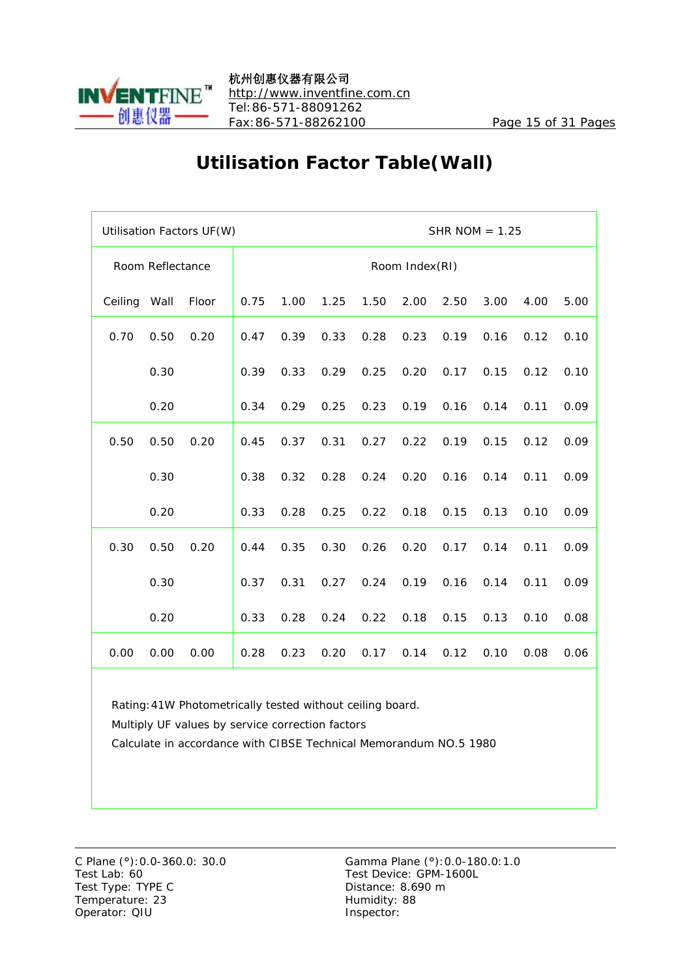

# **Utilisation Factor Table(Wall)**

|         |                  | Utilisation Factors UF(W) |      |      |      |      |                |      | SHR NOM $= 1.25$ |      |      |  |  |  |  |  |  |
|---------|------------------|---------------------------|------|------|------|------|----------------|------|------------------|------|------|--|--|--|--|--|--|
|         | Room Reflectance |                           |      |      |      |      | Room Index(RI) |      |                  |      |      |  |  |  |  |  |  |
| Ceiling | Wall             | Floor                     | 0.75 | 1.00 | 1.25 | 1.50 | 2.00           | 2.50 | 3.00             | 4.00 | 5.00 |  |  |  |  |  |  |
| 0.70    | 0.50             | 0.20                      | 0.47 | 0.39 | 0.33 | 0.28 | 0.23           | 0.19 | 0.16             | 0.12 | 0.10 |  |  |  |  |  |  |
|         | 0.30             |                           | 0.39 | 0.33 | 0.29 | 0.25 | 0.20           | 0.17 | 0.15             | 0.12 | 0.10 |  |  |  |  |  |  |
|         | 0.20             |                           | 0.34 | 0.29 | 0.25 | 0.23 | 0.19           | 0.16 | 0.14             | 0.11 | 0.09 |  |  |  |  |  |  |
| 0.50    | 0.50             | 0.20                      | 0.45 | 0.37 | 0.31 | 0.27 | 0.22           | 0.19 | 0.15             | 0.12 | 0.09 |  |  |  |  |  |  |
|         | 0.30             |                           | 0.38 | 0.32 | 0.28 | 0.24 | 0.20           | 0.16 | 0.14             | 0.11 | 0.09 |  |  |  |  |  |  |
|         | 0.20             |                           | 0.33 | 0.28 | 0.25 | 0.22 | 0.18           | 0.15 | 0.13             | 0.10 | 0.09 |  |  |  |  |  |  |
| 0.30    | 0.50             | 0.20                      | 0.44 | 0.35 | 0.30 | 0.26 | 0.20           | 0.17 | 0.14             | 0.11 | 0.09 |  |  |  |  |  |  |
|         | 0.30             |                           | 0.37 | 0.31 | 0.27 | 0.24 | 0.19           | 0.16 | 0.14             | 0.11 | 0.09 |  |  |  |  |  |  |
|         | 0.20             |                           | 0.33 | 0.28 | 0.24 | 0.22 | 0.18           | 0.15 | 0.13             | 0.10 | 0.08 |  |  |  |  |  |  |
| 0.00    | 0.00             | 0.00                      | 0.28 | 0.23 | 0.20 | 0.17 | 0.14           | 0.12 | 0.10             | 0.08 | 0.06 |  |  |  |  |  |  |

Rating:41W Photometrically tested without ceiling board.

Multiply UF values by service correction factors

Calculate in accordance with CIBSE Technical Memorandum NO.5 1980

Test Lab: 60 Test Device: GPM-1600L Test Type: TYPE C Distance: 8.690 m Temperature: 23 Humidity: 88 Operator: QIU Inspector: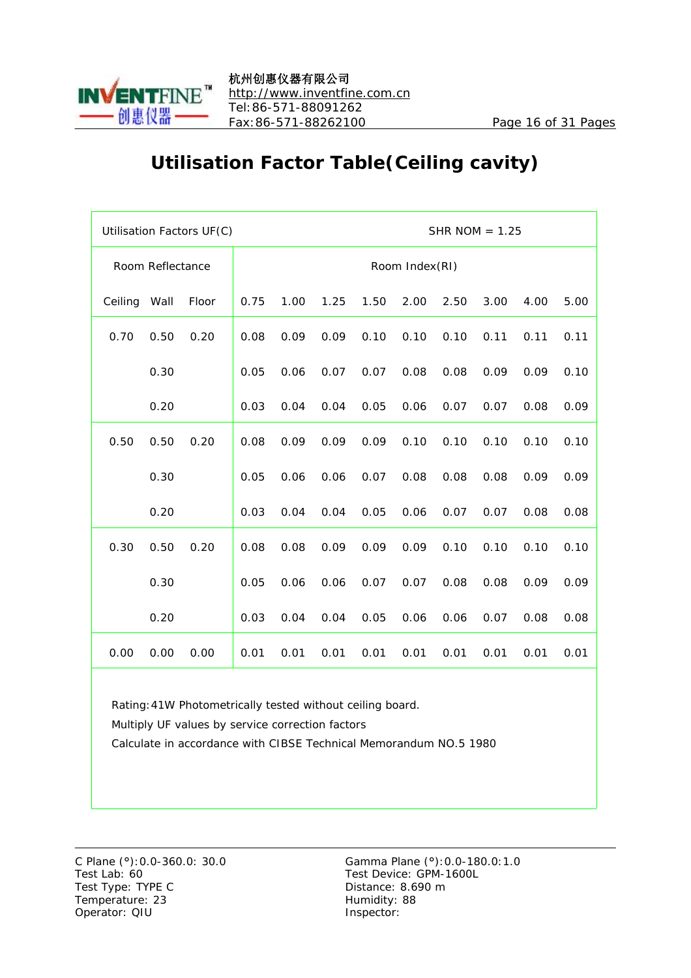

# **Utilisation Factor Table(Ceiling cavity)**

|         |                  | Utilisation Factors UF(C) |      |                                                      | SHR NOM $= 1.25$ |      |                |      |      |      |      |  |  |
|---------|------------------|---------------------------|------|------------------------------------------------------|------------------|------|----------------|------|------|------|------|--|--|
|         | Room Reflectance |                           |      |                                                      |                  |      | Room Index(RI) |      |      |      |      |  |  |
| Ceiling | Wall             | Floor                     | 0.75 | 1.00<br>1.25<br>1.50<br>2.00<br>2.50<br>3.00<br>4.00 |                  |      |                |      |      |      |      |  |  |
| 0.70    | 0.50             | 0.20                      | 0.08 | 0.09                                                 | 0.09             | 0.10 | 0.10           | 0.10 | 0.11 | 0.11 | 0.11 |  |  |
|         | 0.30             |                           | 0.05 | 0.06                                                 | 0.07             | 0.07 | 0.08           | 0.08 | 0.09 | 0.09 | 0.10 |  |  |
|         | 0.20             |                           | 0.03 | 0.04                                                 | 0.04             | 0.05 | 0.06           | 0.07 | 0.07 | 0.08 | 0.09 |  |  |
| 0.50    | 0.50             | 0.20                      | 0.08 | 0.09                                                 | 0.09             | 0.09 | 0.10           | 0.10 | 0.10 | 0.10 | 0.10 |  |  |
|         | 0.30             |                           | 0.05 | 0.06                                                 | 0.06             | 0.07 | 0.08           | 0.08 | 0.08 | 0.09 | 0.09 |  |  |
|         | 0.20             |                           | 0.03 | 0.04                                                 | 0.04             | 0.05 | 0.06           | 0.07 | 0.07 | 0.08 | 0.08 |  |  |
| 0.30    | 0.50             | 0.20                      | 0.08 | 0.08                                                 | 0.09             | 0.09 | 0.09           | 0.10 | 0.10 | 0.10 | 0.10 |  |  |
|         | 0.30             |                           | 0.05 | 0.06                                                 | 0.06             | 0.07 | 0.07           | 0.08 | 0.08 | 0.09 | 0.09 |  |  |
|         | 0.20             |                           | 0.03 | 0.04                                                 | 0.04             | 0.05 | 0.06           | 0.06 | 0.07 | 0.08 | 0.08 |  |  |
| 0.00    | 0.00             | 0.00                      | 0.01 | 0.01                                                 | 0.01             | 0.01 | 0.01           | 0.01 | 0.01 | 0.01 | 0.01 |  |  |

Rating:41W Photometrically tested without ceiling board.

Multiply UF values by service correction factors

Calculate in accordance with CIBSE Technical Memorandum NO.5 1980

Test Lab: 60 Test Device: GPM-1600L Test Type: TYPE C Distance: 8.690 m Temperature: 23 Humidity: 88 Operator: QIU Inspector: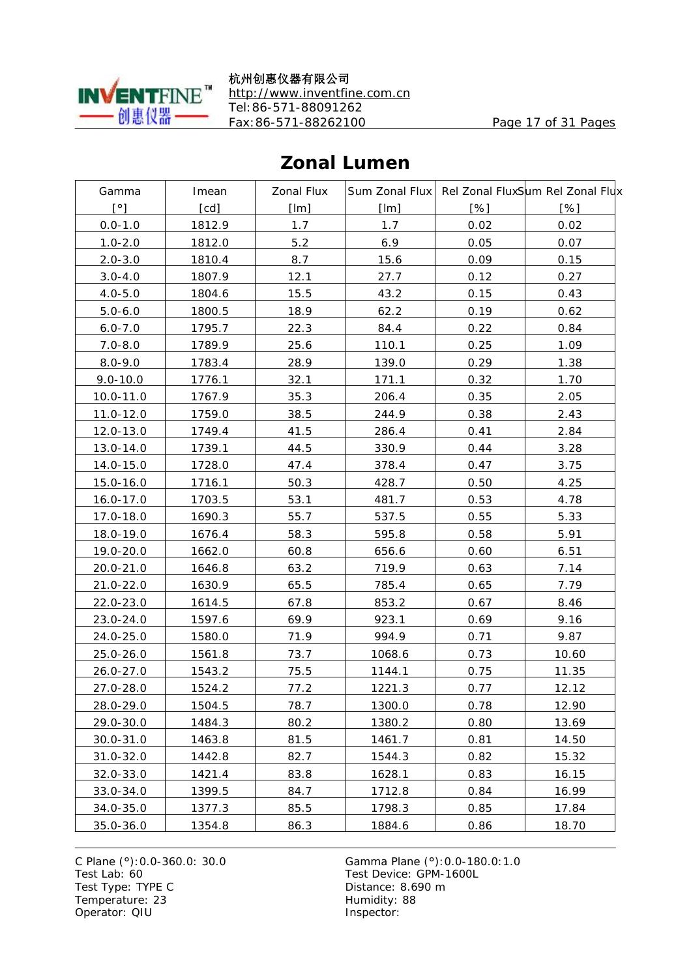

杭州创惠仪器有限公司 <http://www.inventfine.com.cn> Tel:86-571-88091262 Fax:86-571-88262100 Page 17 of 31 Pages

#### Gamma Imean Zonal Flux Sum Zonal Flux Rel Zonal FluxSum Rel Zonal Flux [°] [cd] [lm] [lm] [%] [%] 0.0-1.0 1812.9 1.7 1.7 0.02 0.02 1.0-2.0 1812.0 5.2 6.9 0.05 0.07 2.0-3.0 1810.4 8.7 15.6 0.09 0.15 3.0-4.0 1807.9 12.1 27.7 0.12 0.27 4.0-5.0 1804.6 15.5 43.2 0.15 0.43 5.0-6.0 1800.5 18.9 62.2 0.19 0.62 6.0-7.0 1795.7 22.3 84.4 0.22 0.84 7.0-8.0 1789.9 25.6 110.1 0.25 1.09 8.0-9.0 1783.4 28.9 139.0 0.29 1.38 9.0-10.0 | 1776.1 | 32.1 | 171.1 | 0.32 | 1.70 10.0-11.0 1767.9 35.3 206.4 0.35 2.05 11.0-12.0 1759.0 38.5  $244.9$  0.38 2.43 12.0-13.0 1749.4 41.5 286.4 0.41 2.84 13.0-14.0 1739.1 44.5 330.9 0.44 3.28 14.0-15.0 1728.0 47.4 378.4 0.47 3.75 15.0-16.0 1716.1 50.3 428.7 0.50 4.25 16.0-17.0 1703.5 53.1 481.7 0.53 4.78 17.0-18.0 1690.3  $55.7$  537.5 0.55 5.33 18.0-19.0 1676.4 58.3 595.8 0.58 5.91 19.0-20.0 | 1662.0 | 60.8 | 656.6 | 0.60 | 6.51 20.0-21.0 1646.8 63.2 719.9 0.63 7.14 21.0-22.0 1630.9 65.5 785.4 0.65 7.79 22.0-23.0 1614.5 67.8 853.2 0.67 8.46 23.0-24.0 | 1597.6 | 69.9 | 923.1 | 0.69 | 9.16 24.0-25.0 1580.0 71.9 994.9 0.71 9.87 25.0-26.0 1561.8 73.7 1068.6 0.73 10.60 26.0-27.0 1543.2 75.5 1144.1 0.75 11.35 27.0-28.0 1524.2 77.2 1221.3 0.77 12.12 28.0-29.0 1504.5 78.7 1300.0 0.78 12.90 29.0-30.0 1484.3 80.2 1380.2 0.80 13.69  $30.0-31.0$  1463.8 81.5 1461.7 0.81 14.50 31.0-32.0 1442.8 82.7  $\begin{array}{|c|c|c|c|c|c|c|c|c|} \hline \end{array}$  15.32 15.32  $32.0-33.0$  1421.4 83.8 1628.1 0.83 16.15  $33.0-34.0$  1399.5 84.7 1712.8 0.84 16.99 34.0-35.0 | 1377.3 | 85.5 | 1798.3 | 0.85 | 17.84

35.0-36.0 1354.8 86.3 1884.6 0.86 18.70

**Zonal Lumen**

Test Lab: 60 Test Device: GPM-1600L Test Type: TYPE C Distance: 8.690 m Temperature: 23 Humidity: 88 Operator: QIU inspector: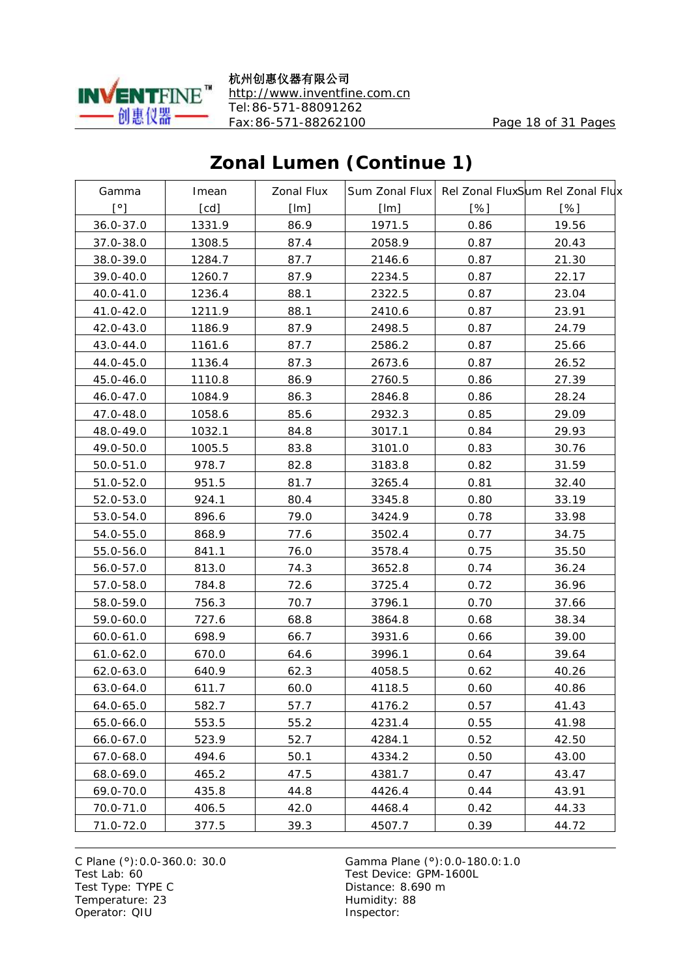

杭州创惠仪器有限公司 <http://www.inventfine.com.cn> Tel:86-571-88091262 Fax:86-571-88262100 Page 18 of 31 Pages

### **Zonal Lumen (Continue 1)**

| Gamma        | Imean  | <b>Zonal Flux</b> |        |      | Sum Zonal Flux Rel Zonal FluxSum Rel Zonal Flux |
|--------------|--------|-------------------|--------|------|-------------------------------------------------|
| $[^{\circ}]$ | [cd]   | [Im]              | [Im]   | [%]  | [%]                                             |
| 36.0-37.0    | 1331.9 | 86.9              | 1971.5 | 0.86 | 19.56                                           |
| 37.0-38.0    | 1308.5 | 87.4              | 2058.9 | 0.87 | 20.43                                           |
| 38.0-39.0    | 1284.7 | 87.7              | 2146.6 | 0.87 | 21.30                                           |
| 39.0-40.0    | 1260.7 | 87.9              | 2234.5 | 0.87 | 22.17                                           |
| 40.0-41.0    | 1236.4 | 88.1              | 2322.5 | 0.87 | 23.04                                           |
| 41.0-42.0    | 1211.9 | 88.1              | 2410.6 | 0.87 | 23.91                                           |
| 42.0-43.0    | 1186.9 | 87.9              | 2498.5 | 0.87 | 24.79                                           |
| 43.0-44.0    | 1161.6 | 87.7              | 2586.2 | 0.87 | 25.66                                           |
| 44.0-45.0    | 1136.4 | 87.3              | 2673.6 | 0.87 | 26.52                                           |
| 45.0-46.0    | 1110.8 | 86.9              | 2760.5 | 0.86 | 27.39                                           |
| 46.0-47.0    | 1084.9 | 86.3              | 2846.8 | 0.86 | 28.24                                           |
| 47.0-48.0    | 1058.6 | 85.6              | 2932.3 | 0.85 | 29.09                                           |
| 48.0-49.0    | 1032.1 | 84.8              | 3017.1 | 0.84 | 29.93                                           |
| 49.0-50.0    | 1005.5 | 83.8              | 3101.0 | 0.83 | 30.76                                           |
| 50.0-51.0    | 978.7  | 82.8              | 3183.8 | 0.82 | 31.59                                           |
| 51.0-52.0    | 951.5  | 81.7              | 3265.4 | 0.81 | 32.40                                           |
| 52.0-53.0    | 924.1  | 80.4              | 3345.8 | 0.80 | 33.19                                           |
| 53.0-54.0    | 896.6  | 79.0              | 3424.9 | 0.78 | 33.98                                           |
| 54.0-55.0    | 868.9  | 77.6              | 3502.4 | 0.77 | 34.75                                           |
| 55.0-56.0    | 841.1  | 76.0              | 3578.4 | 0.75 | 35.50                                           |
| 56.0-57.0    | 813.0  | 74.3              | 3652.8 | 0.74 | 36.24                                           |
| 57.0-58.0    | 784.8  | 72.6              | 3725.4 | 0.72 | 36.96                                           |
| 58.0-59.0    | 756.3  | 70.7              | 3796.1 | 0.70 | 37.66                                           |
| 59.0-60.0    | 727.6  | 68.8              | 3864.8 | 0.68 | 38.34                                           |
| 60.0-61.0    | 698.9  | 66.7              | 3931.6 | 0.66 | 39.00                                           |
| 61.0-62.0    | 670.0  | 64.6              | 3996.1 | 0.64 | 39.64                                           |
| 62.0-63.0    | 640.9  | 62.3              | 4058.5 | 0.62 | 40.26                                           |
| 63.0-64.0    | 611.7  | 60.0              | 4118.5 | 0.60 | 40.86                                           |
| 64.0-65.0    | 582.7  | 57.7              | 4176.2 | 0.57 | 41.43                                           |
| 65.0-66.0    | 553.5  | 55.2              | 4231.4 | 0.55 | 41.98                                           |
| 66.0-67.0    | 523.9  | 52.7              | 4284.1 | 0.52 | 42.50                                           |
| 67.0-68.0    | 494.6  | 50.1              | 4334.2 | 0.50 | 43.00                                           |
| 68.0-69.0    | 465.2  | 47.5              | 4381.7 | 0.47 | 43.47                                           |
| 69.0-70.0    | 435.8  | 44.8              | 4426.4 | 0.44 | 43.91                                           |
| 70.0-71.0    | 406.5  | 42.0              | 4468.4 | 0.42 | 44.33                                           |
| 71.0-72.0    | 377.5  | 39.3              | 4507.7 | 0.39 | 44.72                                           |

Test Type: TYPE C<br>
Temperature: 23<br>
Temperature: 23<br>
Distance: 8.690 m Temperature: 23 Operator: QIU Inspector: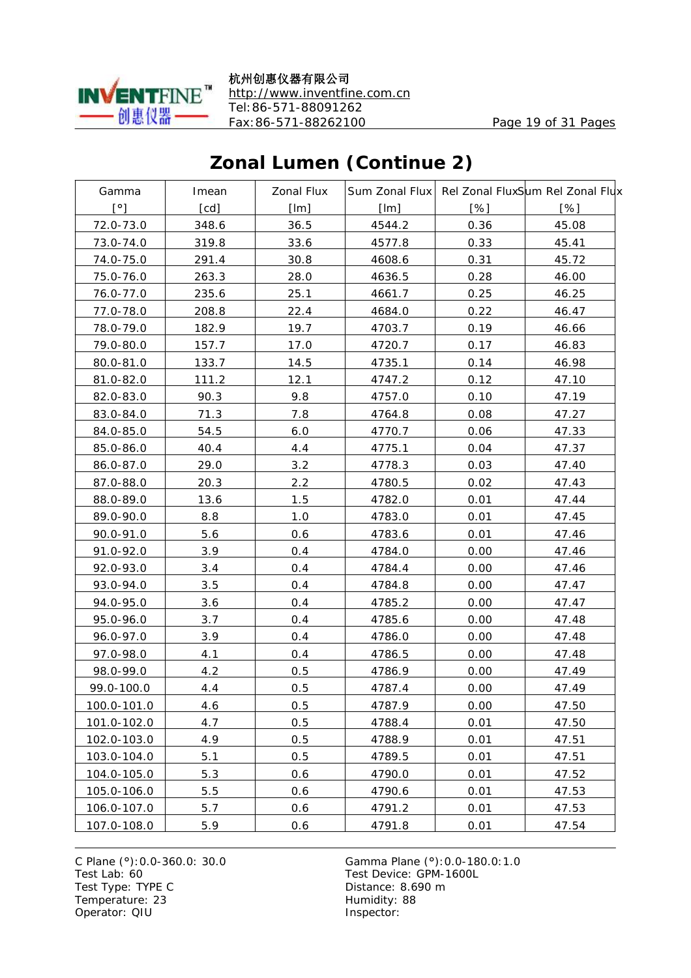

杭州创惠仪器有限公司 <http://www.inventfine.com.cn> Tel:86-571-88091262 Fax:86-571-88262100 Page 19 of 31 Pages

# **Zonal Lumen (Continue 2)**

| Gamma        | Imean | <b>Zonal Flux</b> |        |      | Sum Zonal Flux Rel Zonal FluxSum Rel Zonal Flux |
|--------------|-------|-------------------|--------|------|-------------------------------------------------|
| $[^{\circ}]$ | [cd]  | [Im]              | [Im]   | [%]  | [%]                                             |
| 72.0-73.0    | 348.6 | 36.5              | 4544.2 | 0.36 | 45.08                                           |
| 73.0-74.0    | 319.8 | 33.6              | 4577.8 | 0.33 | 45.41                                           |
| 74.0-75.0    | 291.4 | 30.8              | 4608.6 | 0.31 | 45.72                                           |
| 75.0-76.0    | 263.3 | 28.0              | 4636.5 | 0.28 | 46.00                                           |
| 76.0-77.0    | 235.6 | 25.1              | 4661.7 | 0.25 | 46.25                                           |
| 77.0-78.0    | 208.8 | 22.4              | 4684.0 | 0.22 | 46.47                                           |
| 78.0-79.0    | 182.9 | 19.7              | 4703.7 | 0.19 | 46.66                                           |
| 79.0-80.0    | 157.7 | 17.0              | 4720.7 | 0.17 | 46.83                                           |
| 80.0-81.0    | 133.7 | 14.5              | 4735.1 | 0.14 | 46.98                                           |
| 81.0-82.0    | 111.2 | 12.1              | 4747.2 | 0.12 | 47.10                                           |
| 82.0-83.0    | 90.3  | 9.8               | 4757.0 | 0.10 | 47.19                                           |
| 83.0-84.0    | 71.3  | 7.8               | 4764.8 | 0.08 | 47.27                                           |
| 84.0-85.0    | 54.5  | 6.0               | 4770.7 | 0.06 | 47.33                                           |
| 85.0-86.0    | 40.4  | 4.4               | 4775.1 | 0.04 | 47.37                                           |
| 86.0-87.0    | 29.0  | 3.2               | 4778.3 | 0.03 | 47.40                                           |
| 87.0-88.0    | 20.3  | 2.2               | 4780.5 | 0.02 | 47.43                                           |
| 88.0-89.0    | 13.6  | 1.5               | 4782.0 | 0.01 | 47.44                                           |
| 89.0-90.0    | 8.8   | 1.0               | 4783.0 | 0.01 | 47.45                                           |
| 90.0-91.0    | 5.6   | 0.6               | 4783.6 | 0.01 | 47.46                                           |
| 91.0-92.0    | 3.9   | 0.4               | 4784.0 | 0.00 | 47.46                                           |
| 92.0-93.0    | 3.4   | 0.4               | 4784.4 | 0.00 | 47.46                                           |
| 93.0-94.0    | 3.5   | 0.4               | 4784.8 | 0.00 | 47.47                                           |
| 94.0-95.0    | 3.6   | 0.4               | 4785.2 | 0.00 | 47.47                                           |
| 95.0-96.0    | 3.7   | 0.4               | 4785.6 | 0.00 | 47.48                                           |
| 96.0-97.0    | 3.9   | 0.4               | 4786.0 | 0.00 | 47.48                                           |
| 97.0-98.0    | 4.1   | 0.4               | 4786.5 | 0.00 | 47.48                                           |
| 98.0-99.0    | 4.2   | 0.5               | 4786.9 | 0.00 | 47.49                                           |
| 99.0-100.0   | 4.4   | 0.5               | 4787.4 | 0.00 | 47.49                                           |
| 100.0-101.0  | 4.6   | 0.5               | 4787.9 | 0.00 | 47.50                                           |
| 101.0-102.0  | 4.7   | 0.5               | 4788.4 | 0.01 | 47.50                                           |
| 102.0-103.0  | 4.9   | 0.5               | 4788.9 | 0.01 | 47.51                                           |
| 103.0-104.0  | 5.1   | 0.5               | 4789.5 | 0.01 | 47.51                                           |
| 104.0-105.0  | 5.3   | 0.6               | 4790.0 | 0.01 | 47.52                                           |
| 105.0-106.0  | 5.5   | 0.6               | 4790.6 | 0.01 | 47.53                                           |
| 106.0-107.0  | 5.7   | 0.6               | 4791.2 | 0.01 | 47.53                                           |
| 107.0-108.0  | 5.9   | 0.6               | 4791.8 | 0.01 | 47.54                                           |

Test Type: TYPE C<br>
Temperature: 23<br>
Temperature: 23<br>
Distance: 8.690 m Temperature: 23 Operator: QIU Inspector: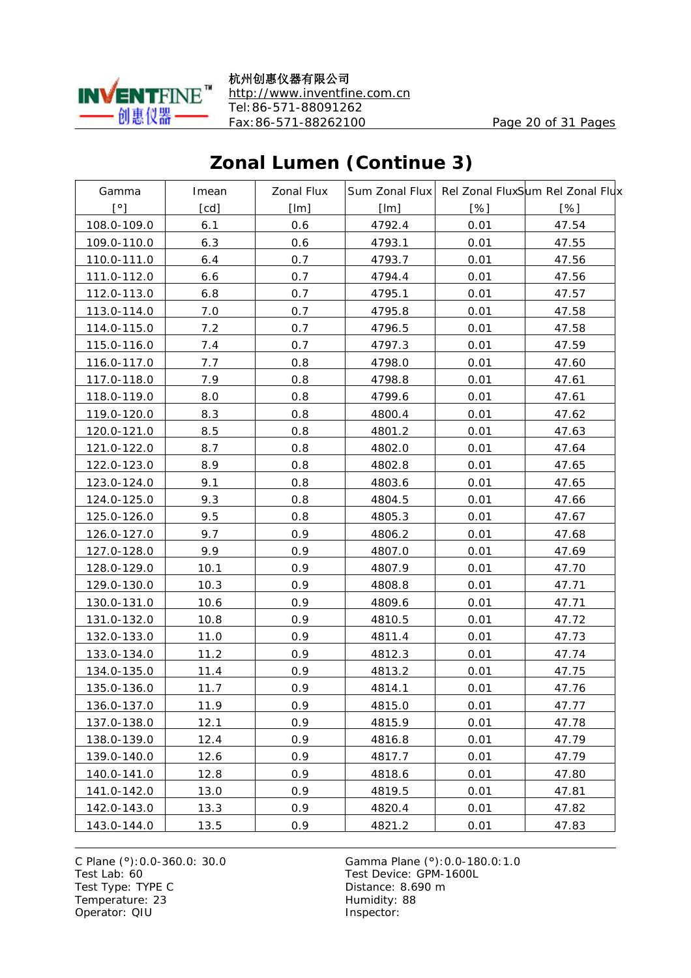

杭州创惠仪器有限公司 <http://www.inventfine.com.cn> Tel:86-571-88091262 Fax:86-571-88262100 Page 20 of 31 Pages

# **Zonal Lumen (Continue 3)**

| Gamma        | Imean | <b>Zonal Flux</b> |        |      | Sum Zonal Flux Rel Zonal FluxSum Rel Zonal Flux |
|--------------|-------|-------------------|--------|------|-------------------------------------------------|
| $[^{\circ}]$ | [cd]  | [Im]              | [Im]   | [%]  | [%]                                             |
| 108.0-109.0  | 6.1   | 0.6               | 4792.4 | 0.01 | 47.54                                           |
| 109.0-110.0  | 6.3   | 0.6               | 4793.1 | 0.01 | 47.55                                           |
| 110.0-111.0  | 6.4   | 0.7               | 4793.7 | 0.01 | 47.56                                           |
| 111.0-112.0  | 6.6   | 0.7               | 4794.4 | 0.01 | 47.56                                           |
| 112.0-113.0  | 6.8   | 0.7               | 4795.1 | 0.01 | 47.57                                           |
| 113.0-114.0  | 7.0   | 0.7               | 4795.8 | 0.01 | 47.58                                           |
| 114.0-115.0  | 7.2   | 0.7               | 4796.5 | 0.01 | 47.58                                           |
| 115.0-116.0  | 7.4   | 0.7               | 4797.3 | 0.01 | 47.59                                           |
| 116.0-117.0  | 7.7   | 0.8               | 4798.0 | 0.01 | 47.60                                           |
| 117.0-118.0  | 7.9   | 0.8               | 4798.8 | 0.01 | 47.61                                           |
| 118.0-119.0  | 8.0   | 0.8               | 4799.6 | 0.01 | 47.61                                           |
| 119.0-120.0  | 8.3   | 0.8               | 4800.4 | 0.01 | 47.62                                           |
| 120.0-121.0  | 8.5   | 0.8               | 4801.2 | 0.01 | 47.63                                           |
| 121.0-122.0  | 8.7   | 0.8               | 4802.0 | 0.01 | 47.64                                           |
| 122.0-123.0  | 8.9   | 0.8               | 4802.8 | 0.01 | 47.65                                           |
| 123.0-124.0  | 9.1   | 0.8               | 4803.6 | 0.01 | 47.65                                           |
| 124.0-125.0  | 9.3   | 0.8               | 4804.5 | 0.01 | 47.66                                           |
| 125.0-126.0  | 9.5   | 0.8               | 4805.3 | 0.01 | 47.67                                           |
| 126.0-127.0  | 9.7   | 0.9               | 4806.2 | 0.01 | 47.68                                           |
| 127.0-128.0  | 9.9   | 0.9               | 4807.0 | 0.01 | 47.69                                           |
| 128.0-129.0  | 10.1  | 0.9               | 4807.9 | 0.01 | 47.70                                           |
| 129.0-130.0  | 10.3  | 0.9               | 4808.8 | 0.01 | 47.71                                           |
| 130.0-131.0  | 10.6  | 0.9               | 4809.6 | 0.01 | 47.71                                           |
| 131.0-132.0  | 10.8  | 0.9               | 4810.5 | 0.01 | 47.72                                           |
| 132.0-133.0  | 11.0  | 0.9               | 4811.4 | 0.01 | 47.73                                           |
| 133.0-134.0  | 11.2  | 0.9               | 4812.3 | 0.01 | 47.74                                           |
| 134.0-135.0  | 11.4  | 0.9               | 4813.2 | 0.01 | 47.75                                           |
| 135.0-136.0  | 11.7  | 0.9               | 4814.1 | 0.01 | 47.76                                           |
| 136.0-137.0  | 11.9  | 0.9               | 4815.0 | 0.01 | 47.77                                           |
| 137.0-138.0  | 12.1  | 0.9               | 4815.9 | 0.01 | 47.78                                           |
| 138.0-139.0  | 12.4  | 0.9               | 4816.8 | 0.01 | 47.79                                           |
| 139.0-140.0  | 12.6  | 0.9               | 4817.7 | 0.01 | 47.79                                           |
| 140.0-141.0  | 12.8  | 0.9 <sub>0</sub>  | 4818.6 | 0.01 | 47.80                                           |
| 141.0-142.0  | 13.0  | 0.9               | 4819.5 | 0.01 | 47.81                                           |
| 142.0-143.0  | 13.3  | 0.9               | 4820.4 | 0.01 | 47.82                                           |
| 143.0-144.0  | 13.5  | 0.9               | 4821.2 | 0.01 | 47.83                                           |

Test Type: TYPE C<br>
Temperature: 23<br>
Temperature: 23<br>
Distance: 8.690 m Temperature: 23 Operator: QIU Inspector: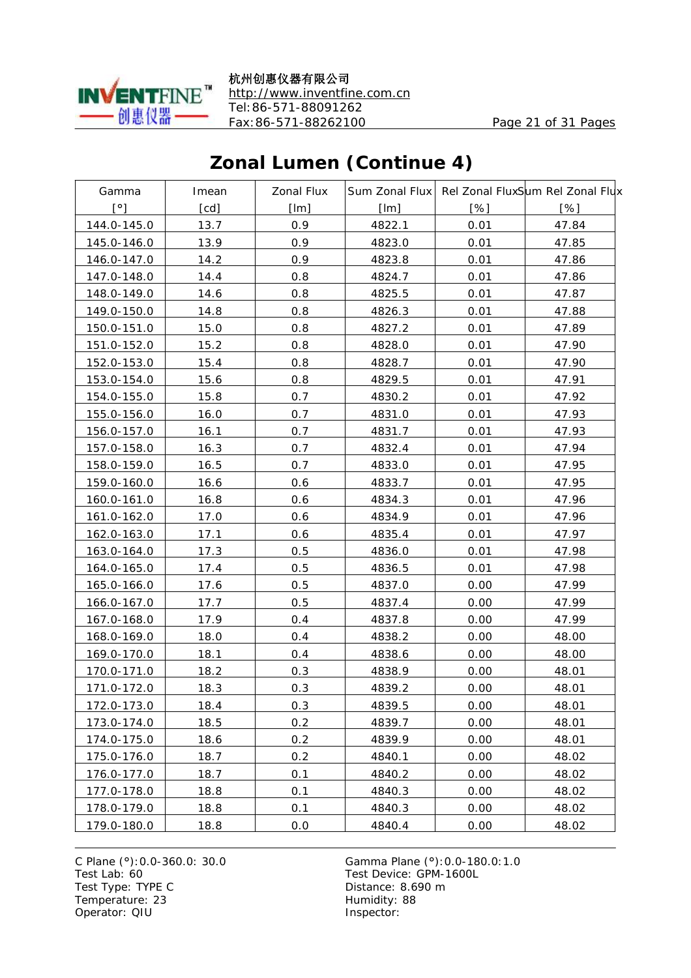

杭州创惠仪器有限公司 <http://www.inventfine.com.cn> Tel:86-571-88091262 Fax:86-571-88262100 Page 21 of 31 Pages

# **Zonal Lumen (Continue 4)**

| Gamma        | Imean | <b>Zonal Flux</b> |        |      | Sum Zonal Flux Rel Zonal FluxSum Rel Zonal Flux |
|--------------|-------|-------------------|--------|------|-------------------------------------------------|
| $[^{\circ}]$ | [cd]  | [Im]              | [Im]   | [%]  | [%]                                             |
| 144.0-145.0  | 13.7  | 0.9               | 4822.1 | 0.01 | 47.84                                           |
| 145.0-146.0  | 13.9  | 0.9               | 4823.0 | 0.01 | 47.85                                           |
| 146.0-147.0  | 14.2  | 0.9               | 4823.8 | 0.01 | 47.86                                           |
| 147.0-148.0  | 14.4  | 0.8               | 4824.7 | 0.01 | 47.86                                           |
| 148.0-149.0  | 14.6  | 0.8               | 4825.5 | 0.01 | 47.87                                           |
| 149.0-150.0  | 14.8  | 0.8               | 4826.3 | 0.01 | 47.88                                           |
| 150.0-151.0  | 15.0  | 0.8               | 4827.2 | 0.01 | 47.89                                           |
| 151.0-152.0  | 15.2  | 0.8               | 4828.0 | 0.01 | 47.90                                           |
| 152.0-153.0  | 15.4  | 0.8               | 4828.7 | 0.01 | 47.90                                           |
| 153.0-154.0  | 15.6  | 0.8               | 4829.5 | 0.01 | 47.91                                           |
| 154.0-155.0  | 15.8  | 0.7               | 4830.2 | 0.01 | 47.92                                           |
| 155.0-156.0  | 16.0  | 0.7               | 4831.0 | 0.01 | 47.93                                           |
| 156.0-157.0  | 16.1  | 0.7               | 4831.7 | 0.01 | 47.93                                           |
| 157.0-158.0  | 16.3  | 0.7               | 4832.4 | 0.01 | 47.94                                           |
| 158.0-159.0  | 16.5  | 0.7               | 4833.0 | 0.01 | 47.95                                           |
| 159.0-160.0  | 16.6  | 0.6               | 4833.7 | 0.01 | 47.95                                           |
| 160.0-161.0  | 16.8  | 0.6               | 4834.3 | 0.01 | 47.96                                           |
| 161.0-162.0  | 17.0  | 0.6               | 4834.9 | 0.01 | 47.96                                           |
| 162.0-163.0  | 17.1  | 0.6               | 4835.4 | 0.01 | 47.97                                           |
| 163.0-164.0  | 17.3  | 0.5               | 4836.0 | 0.01 | 47.98                                           |
| 164.0-165.0  | 17.4  | 0.5               | 4836.5 | 0.01 | 47.98                                           |
| 165.0-166.0  | 17.6  | 0.5               | 4837.0 | 0.00 | 47.99                                           |
| 166.0-167.0  | 17.7  | 0.5               | 4837.4 | 0.00 | 47.99                                           |
| 167.0-168.0  | 17.9  | 0.4               | 4837.8 | 0.00 | 47.99                                           |
| 168.0-169.0  | 18.0  | 0.4               | 4838.2 | 0.00 | 48.00                                           |
| 169.0-170.0  | 18.1  | 0.4               | 4838.6 | 0.00 | 48.00                                           |
| 170.0-171.0  | 18.2  | 0.3               | 4838.9 | 0.00 | 48.01                                           |
| 171.0-172.0  | 18.3  | 0.3               | 4839.2 | 0.00 | 48.01                                           |
| 172.0-173.0  | 18.4  | 0.3               | 4839.5 | 0.00 | 48.01                                           |
| 173.0-174.0  | 18.5  | 0.2               | 4839.7 | 0.00 | 48.01                                           |
| 174.0-175.0  | 18.6  | 0.2               | 4839.9 | 0.00 | 48.01                                           |
| 175.0-176.0  | 18.7  | 0.2               | 4840.1 | 0.00 | 48.02                                           |
| 176.0-177.0  | 18.7  | 0.1               | 4840.2 | 0.00 | 48.02                                           |
| 177.0-178.0  | 18.8  | 0.1               | 4840.3 | 0.00 | 48.02                                           |
| 178.0-179.0  | 18.8  | 0.1               | 4840.3 | 0.00 | 48.02                                           |
| 179.0-180.0  | 18.8  | 0.0               | 4840.4 | 0.00 | 48.02                                           |

Test Type: TYPE C<br>
Temperature: 23<br>
Temperature: 23<br>
Distance: 8.690 m Temperature: 23 Operator: QIU Inspector: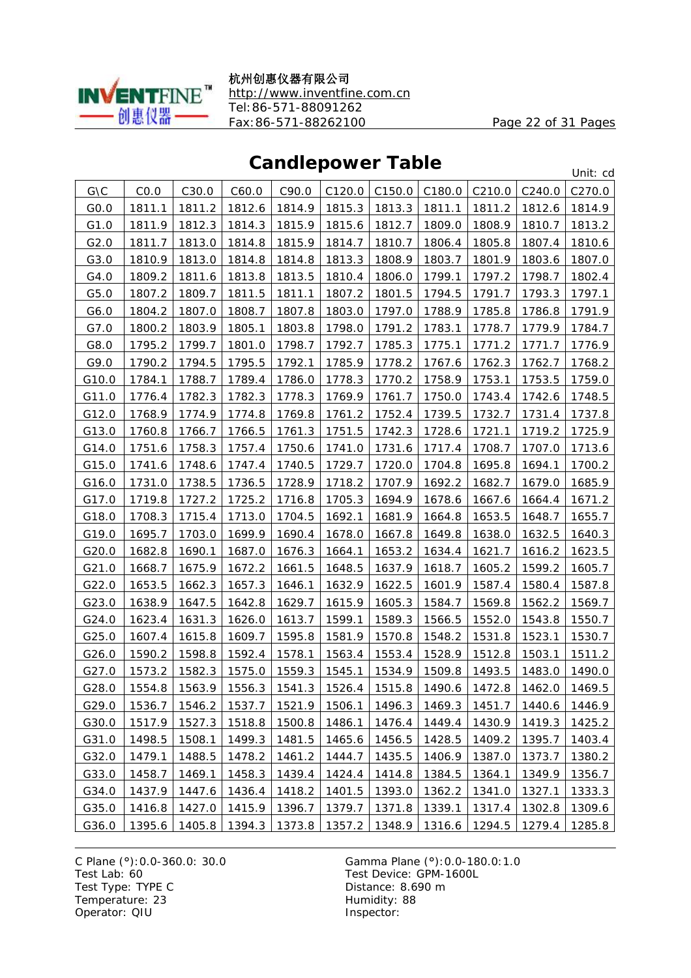

杭州创惠仪器有限公司 <http://www.inventfine.com.cn> Tel:86-571-88091262 Fax:86-571-88262100 Page 22 of 31 Pages

#### **Candlepower Table**

| <b>VUINICPOWGI TUDIC</b> |        |        |        |        |        |        |        |        |        | Unit: cd |
|--------------------------|--------|--------|--------|--------|--------|--------|--------|--------|--------|----------|
| G\C                      | CO.0   | C30.0  | C60.0  | C90.0  | C120.0 | C150.0 | C180.0 | C210.0 | C240.0 | C270.0   |
| GO.0                     | 1811.1 | 1811.2 | 1812.6 | 1814.9 | 1815.3 | 1813.3 | 1811.1 | 1811.2 | 1812.6 | 1814.9   |
| G1.0                     | 1811.9 | 1812.3 | 1814.3 | 1815.9 | 1815.6 | 1812.7 | 1809.0 | 1808.9 | 1810.7 | 1813.2   |
| G2.0                     | 1811.7 | 1813.0 | 1814.8 | 1815.9 | 1814.7 | 1810.7 | 1806.4 | 1805.8 | 1807.4 | 1810.6   |
| G3.0                     | 1810.9 | 1813.0 | 1814.8 | 1814.8 | 1813.3 | 1808.9 | 1803.7 | 1801.9 | 1803.6 | 1807.0   |
| G4.0                     | 1809.2 | 1811.6 | 1813.8 | 1813.5 | 1810.4 | 1806.0 | 1799.1 | 1797.2 | 1798.7 | 1802.4   |
| G5.0                     | 1807.2 | 1809.7 | 1811.5 | 1811.1 | 1807.2 | 1801.5 | 1794.5 | 1791.7 | 1793.3 | 1797.1   |
| G6.0                     | 1804.2 | 1807.0 | 1808.7 | 1807.8 | 1803.0 | 1797.0 | 1788.9 | 1785.8 | 1786.8 | 1791.9   |
| G7.0                     | 1800.2 | 1803.9 | 1805.1 | 1803.8 | 1798.0 | 1791.2 | 1783.1 | 1778.7 | 1779.9 | 1784.7   |
| G8.0                     | 1795.2 | 1799.7 | 1801.0 | 1798.7 | 1792.7 | 1785.3 | 1775.1 | 1771.2 | 1771.7 | 1776.9   |
| G9.0                     | 1790.2 | 1794.5 | 1795.5 | 1792.1 | 1785.9 | 1778.2 | 1767.6 | 1762.3 | 1762.7 | 1768.2   |
| G10.0                    | 1784.1 | 1788.7 | 1789.4 | 1786.0 | 1778.3 | 1770.2 | 1758.9 | 1753.1 | 1753.5 | 1759.0   |
| G11.0                    | 1776.4 | 1782.3 | 1782.3 | 1778.3 | 1769.9 | 1761.7 | 1750.0 | 1743.4 | 1742.6 | 1748.5   |
| G12.0                    | 1768.9 | 1774.9 | 1774.8 | 1769.8 | 1761.2 | 1752.4 | 1739.5 | 1732.7 | 1731.4 | 1737.8   |
| G13.0                    | 1760.8 | 1766.7 | 1766.5 | 1761.3 | 1751.5 | 1742.3 | 1728.6 | 1721.1 | 1719.2 | 1725.9   |
| G14.0                    | 1751.6 | 1758.3 | 1757.4 | 1750.6 | 1741.0 | 1731.6 | 1717.4 | 1708.7 | 1707.0 | 1713.6   |
| G15.0                    | 1741.6 | 1748.6 | 1747.4 | 1740.5 | 1729.7 | 1720.0 | 1704.8 | 1695.8 | 1694.1 | 1700.2   |
| G16.0                    | 1731.0 | 1738.5 | 1736.5 | 1728.9 | 1718.2 | 1707.9 | 1692.2 | 1682.7 | 1679.0 | 1685.9   |
| G17.0                    | 1719.8 | 1727.2 | 1725.2 | 1716.8 | 1705.3 | 1694.9 | 1678.6 | 1667.6 | 1664.4 | 1671.2   |
| G18.0                    | 1708.3 | 1715.4 | 1713.0 | 1704.5 | 1692.1 | 1681.9 | 1664.8 | 1653.5 | 1648.7 | 1655.7   |
| G19.0                    | 1695.7 | 1703.0 | 1699.9 | 1690.4 | 1678.0 | 1667.8 | 1649.8 | 1638.0 | 1632.5 | 1640.3   |
| G20.0                    | 1682.8 | 1690.1 | 1687.0 | 1676.3 | 1664.1 | 1653.2 | 1634.4 | 1621.7 | 1616.2 | 1623.5   |
| G21.0                    | 1668.7 | 1675.9 | 1672.2 | 1661.5 | 1648.5 | 1637.9 | 1618.7 | 1605.2 | 1599.2 | 1605.7   |
| G22.0                    | 1653.5 | 1662.3 | 1657.3 | 1646.1 | 1632.9 | 1622.5 | 1601.9 | 1587.4 | 1580.4 | 1587.8   |
| G23.0                    | 1638.9 | 1647.5 | 1642.8 | 1629.7 | 1615.9 | 1605.3 | 1584.7 | 1569.8 | 1562.2 | 1569.7   |
| G24.0                    | 1623.4 | 1631.3 | 1626.0 | 1613.7 | 1599.1 | 1589.3 | 1566.5 | 1552.0 | 1543.8 | 1550.7   |
| G25.0                    | 1607.4 | 1615.8 | 1609.7 | 1595.8 | 1581.9 | 1570.8 | 1548.2 | 1531.8 | 1523.1 | 1530.7   |
| G26.0                    | 1590.2 | 1598.8 | 1592.4 | 1578.1 | 1563.4 | 1553.4 | 1528.9 | 1512.8 | 1503.1 | 1511.2   |
| G27.0                    | 1573.2 | 1582.3 | 1575.0 | 1559.3 | 1545.1 | 1534.9 | 1509.8 | 1493.5 | 1483.0 | 1490.0   |
| G28.0                    | 1554.8 | 1563.9 | 1556.3 | 1541.3 | 1526.4 | 1515.8 | 1490.6 | 1472.8 | 1462.0 | 1469.5   |
| G29.0                    | 1536.7 | 1546.2 | 1537.7 | 1521.9 | 1506.1 | 1496.3 | 1469.3 | 1451.7 | 1440.6 | 1446.9   |
| G30.0                    | 1517.9 | 1527.3 | 1518.8 | 1500.8 | 1486.1 | 1476.4 | 1449.4 | 1430.9 | 1419.3 | 1425.2   |
| G31.0                    | 1498.5 | 1508.1 | 1499.3 | 1481.5 | 1465.6 | 1456.5 | 1428.5 | 1409.2 | 1395.7 | 1403.4   |
| G32.0                    | 1479.1 | 1488.5 | 1478.2 | 1461.2 | 1444.7 | 1435.5 | 1406.9 | 1387.0 | 1373.7 | 1380.2   |
| G33.0                    | 1458.7 | 1469.1 | 1458.3 | 1439.4 | 1424.4 | 1414.8 | 1384.5 | 1364.1 | 1349.9 | 1356.7   |
| G34.0                    | 1437.9 | 1447.6 | 1436.4 | 1418.2 | 1401.5 | 1393.0 | 1362.2 | 1341.0 | 1327.1 | 1333.3   |
| G35.0                    | 1416.8 | 1427.0 | 1415.9 | 1396.7 | 1379.7 | 1371.8 | 1339.1 | 1317.4 | 1302.8 | 1309.6   |
| G36.0                    | 1395.6 | 1405.8 | 1394.3 | 1373.8 | 1357.2 | 1348.9 | 1316.6 | 1294.5 | 1279.4 | 1285.8   |

Test Type: TYPE C<br>
Temperature: 23<br>
Temperature: 23<br>
Distance: 8.690 m Temperature: 23 Operator: QIU Inspector: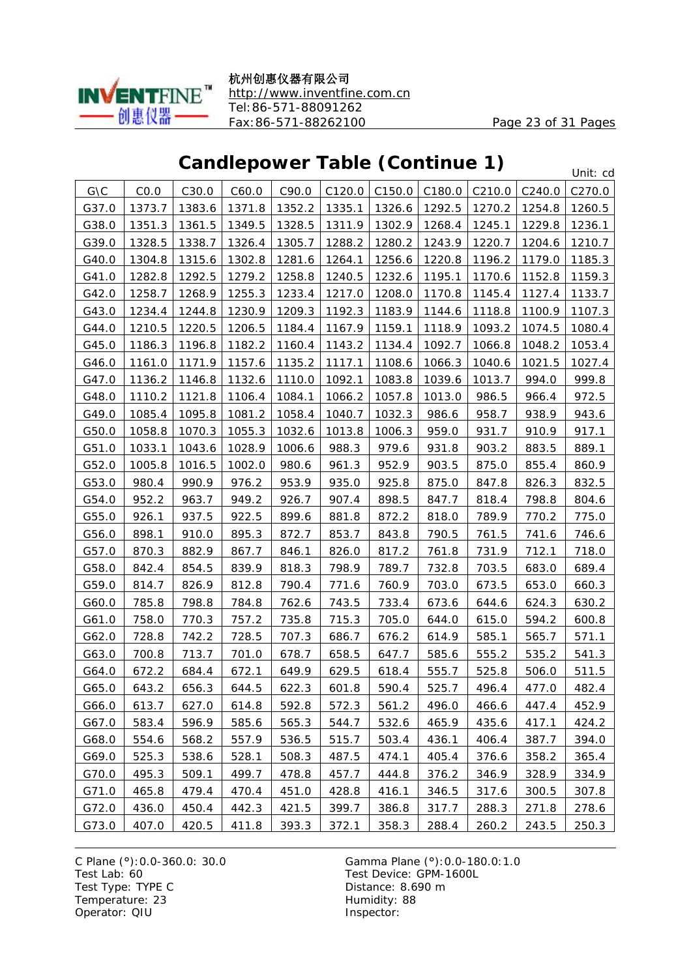

杭州创惠仪器有限公司 <http://www.inventfine.com.cn> Tel:86-571-88091262 Fax:86-571-88262100 Page 23 of 31 Pages

### **Candlepower Table (Continue 1)**

Unit: cd

| G\C   | CO.0   | C30.0  | C60.0  | C90.0  | C120.0 | C150.0 | C180.0 | C210.0 | C240.0 | C <sub>270.0</sub> |
|-------|--------|--------|--------|--------|--------|--------|--------|--------|--------|--------------------|
| G37.0 | 1373.7 | 1383.6 | 1371.8 | 1352.2 | 1335.1 | 1326.6 | 1292.5 | 1270.2 | 1254.8 | 1260.5             |
| G38.0 | 1351.3 | 1361.5 | 1349.5 | 1328.5 | 1311.9 | 1302.9 | 1268.4 | 1245.1 | 1229.8 | 1236.1             |
| G39.0 | 1328.5 | 1338.7 | 1326.4 | 1305.7 | 1288.2 | 1280.2 | 1243.9 | 1220.7 | 1204.6 | 1210.7             |
| G40.0 | 1304.8 | 1315.6 | 1302.8 | 1281.6 | 1264.1 | 1256.6 | 1220.8 | 1196.2 | 1179.0 | 1185.3             |
| G41.0 | 1282.8 | 1292.5 | 1279.2 | 1258.8 | 1240.5 | 1232.6 | 1195.1 | 1170.6 | 1152.8 | 1159.3             |
| G42.0 | 1258.7 | 1268.9 | 1255.3 | 1233.4 | 1217.0 | 1208.0 | 1170.8 | 1145.4 | 1127.4 | 1133.7             |
| G43.0 | 1234.4 | 1244.8 | 1230.9 | 1209.3 | 1192.3 | 1183.9 | 1144.6 | 1118.8 | 1100.9 | 1107.3             |
| G44.0 | 1210.5 | 1220.5 | 1206.5 | 1184.4 | 1167.9 | 1159.1 | 1118.9 | 1093.2 | 1074.5 | 1080.4             |
| G45.0 | 1186.3 | 1196.8 | 1182.2 | 1160.4 | 1143.2 | 1134.4 | 1092.7 | 1066.8 | 1048.2 | 1053.4             |
| G46.0 | 1161.0 | 1171.9 | 1157.6 | 1135.2 | 1117.1 | 1108.6 | 1066.3 | 1040.6 | 1021.5 | 1027.4             |
| G47.0 | 1136.2 | 1146.8 | 1132.6 | 1110.0 | 1092.1 | 1083.8 | 1039.6 | 1013.7 | 994.0  | 999.8              |
| G48.0 | 1110.2 | 1121.8 | 1106.4 | 1084.1 | 1066.2 | 1057.8 | 1013.0 | 986.5  | 966.4  | 972.5              |
| G49.0 | 1085.4 | 1095.8 | 1081.2 | 1058.4 | 1040.7 | 1032.3 | 986.6  | 958.7  | 938.9  | 943.6              |
| G50.0 | 1058.8 | 1070.3 | 1055.3 | 1032.6 | 1013.8 | 1006.3 | 959.0  | 931.7  | 910.9  | 917.1              |
| G51.0 | 1033.1 | 1043.6 | 1028.9 | 1006.6 | 988.3  | 979.6  | 931.8  | 903.2  | 883.5  | 889.1              |
| G52.0 | 1005.8 | 1016.5 | 1002.0 | 980.6  | 961.3  | 952.9  | 903.5  | 875.0  | 855.4  | 860.9              |
| G53.0 | 980.4  | 990.9  | 976.2  | 953.9  | 935.0  | 925.8  | 875.0  | 847.8  | 826.3  | 832.5              |
| G54.0 | 952.2  | 963.7  | 949.2  | 926.7  | 907.4  | 898.5  | 847.7  | 818.4  | 798.8  | 804.6              |
| G55.0 | 926.1  | 937.5  | 922.5  | 899.6  | 881.8  | 872.2  | 818.0  | 789.9  | 770.2  | 775.0              |
| G56.0 | 898.1  | 910.0  | 895.3  | 872.7  | 853.7  | 843.8  | 790.5  | 761.5  | 741.6  | 746.6              |
| G57.0 | 870.3  | 882.9  | 867.7  | 846.1  | 826.0  | 817.2  | 761.8  | 731.9  | 712.1  | 718.0              |
| G58.0 | 842.4  | 854.5  | 839.9  | 818.3  | 798.9  | 789.7  | 732.8  | 703.5  | 683.0  | 689.4              |
| G59.0 | 814.7  | 826.9  | 812.8  | 790.4  | 771.6  | 760.9  | 703.0  | 673.5  | 653.0  | 660.3              |
| G60.0 | 785.8  | 798.8  | 784.8  | 762.6  | 743.5  | 733.4  | 673.6  | 644.6  | 624.3  | 630.2              |
| G61.0 | 758.0  | 770.3  | 757.2  | 735.8  | 715.3  | 705.0  | 644.0  | 615.0  | 594.2  | 600.8              |
| G62.0 | 728.8  | 742.2  | 728.5  | 707.3  | 686.7  | 676.2  | 614.9  | 585.1  | 565.7  | 571.1              |
| G63.0 | 700.8  | 713.7  | 701.0  | 678.7  | 658.5  | 647.7  | 585.6  | 555.2  | 535.2  | 541.3              |
| G64.0 | 672.2  | 684.4  | 672.1  | 649.9  | 629.5  | 618.4  | 555.7  | 525.8  | 506.0  | 511.5              |
| G65.0 | 643.2  | 656.3  | 644.5  | 622.3  | 601.8  | 590.4  | 525.7  | 496.4  | 477.0  | 482.4              |
| G66.0 | 613.7  | 627.0  | 614.8  | 592.8  | 572.3  | 561.2  | 496.0  | 466.6  | 447.4  | 452.9              |
| G67.0 | 583.4  | 596.9  | 585.6  | 565.3  | 544.7  | 532.6  | 465.9  | 435.6  | 417.1  | 424.2              |
| G68.0 | 554.6  | 568.2  | 557.9  | 536.5  | 515.7  | 503.4  | 436.1  | 406.4  | 387.7  | 394.0              |
| G69.0 | 525.3  | 538.6  | 528.1  | 508.3  | 487.5  | 474.1  | 405.4  | 376.6  | 358.2  | 365.4              |
| G70.0 | 495.3  | 509.1  | 499.7  | 478.8  | 457.7  | 444.8  | 376.2  | 346.9  | 328.9  | 334.9              |
| G71.0 | 465.8  | 479.4  | 470.4  | 451.0  | 428.8  | 416.1  | 346.5  | 317.6  | 300.5  | 307.8              |
| G72.0 | 436.0  | 450.4  | 442.3  | 421.5  | 399.7  | 386.8  | 317.7  | 288.3  | 271.8  | 278.6              |
| G73.0 | 407.0  | 420.5  | 411.8  | 393.3  | 372.1  | 358.3  | 288.4  | 260.2  | 243.5  | 250.3              |

Test Type: TYPE C<br>
Temperature: 23<br>
Temperature: 23<br>
Distance: 8.690 m Temperature: 23 Operator: QIU Inspector: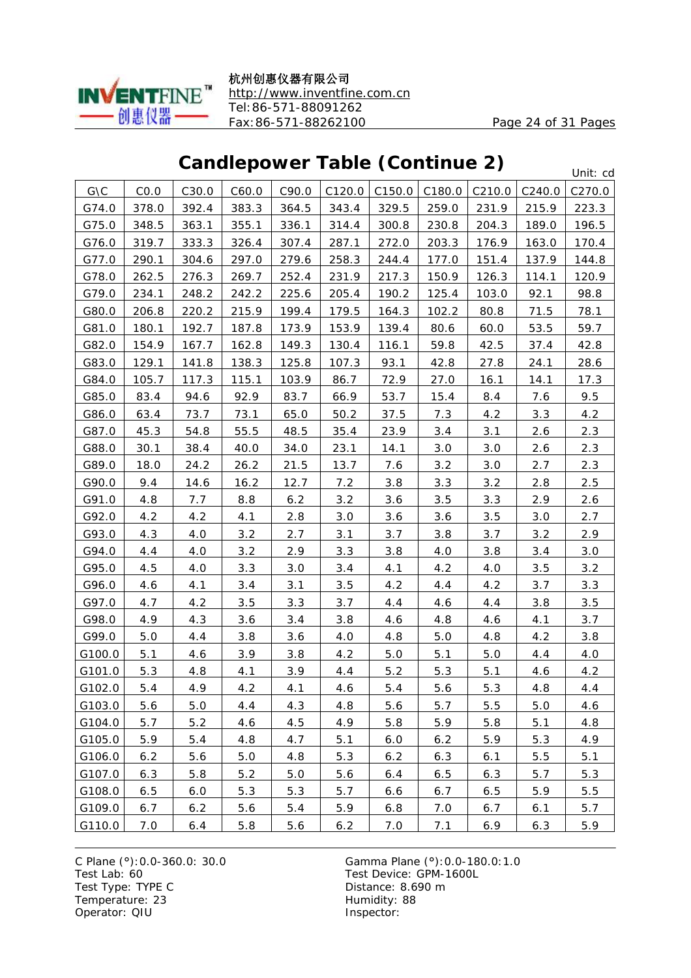

杭州创惠仪器有限公司 <http://www.inventfine.com.cn> Tel:86-571-88091262 Fax:86-571-88262100 Page 24 of 31 Pages

### **Candlepower Table (Continue 2)**

Unit: cd

| G\C    | CO.0  | C30.0 | C60.0 | C90.0 | C120.0 | C150.0 | C180.0 | C210.0 | C240.0 | C <sub>270.0</sub> |
|--------|-------|-------|-------|-------|--------|--------|--------|--------|--------|--------------------|
| G74.0  | 378.0 | 392.4 | 383.3 | 364.5 | 343.4  | 329.5  | 259.0  | 231.9  | 215.9  | 223.3              |
| G75.0  | 348.5 | 363.1 | 355.1 | 336.1 | 314.4  | 300.8  | 230.8  | 204.3  | 189.0  | 196.5              |
| G76.0  | 319.7 | 333.3 | 326.4 | 307.4 | 287.1  | 272.0  | 203.3  | 176.9  | 163.0  | 170.4              |
| G77.0  | 290.1 | 304.6 | 297.0 | 279.6 | 258.3  | 244.4  | 177.0  | 151.4  | 137.9  | 144.8              |
| G78.0  | 262.5 | 276.3 | 269.7 | 252.4 | 231.9  | 217.3  | 150.9  | 126.3  | 114.1  | 120.9              |
| G79.0  | 234.1 | 248.2 | 242.2 | 225.6 | 205.4  | 190.2  | 125.4  | 103.0  | 92.1   | 98.8               |
| G80.0  | 206.8 | 220.2 | 215.9 | 199.4 | 179.5  | 164.3  | 102.2  | 80.8   | 71.5   | <u>78.1</u>        |
| G81.0  | 180.1 | 192.7 | 187.8 | 173.9 | 153.9  | 139.4  | 80.6   | 60.0   | 53.5   | 59.7               |
| G82.0  | 154.9 | 167.7 | 162.8 | 149.3 | 130.4  | 116.1  | 59.8   | 42.5   | 37.4   | 42.8               |
| G83.0  | 129.1 | 141.8 | 138.3 | 125.8 | 107.3  | 93.1   | 42.8   | 27.8   | 24.1   | 28.6               |
| G84.0  | 105.7 | 117.3 | 115.1 | 103.9 | 86.7   | 72.9   | 27.0   | 16.1   | 14.1   | 17.3               |
| G85.0  | 83.4  | 94.6  | 92.9  | 83.7  | 66.9   | 53.7   | 15.4   | 8.4    | 7.6    | 9.5                |
| G86.0  | 63.4  | 73.7  | 73.1  | 65.0  | 50.2   | 37.5   | 7.3    | 4.2    | 3.3    | 4.2                |
| G87.0  | 45.3  | 54.8  | 55.5  | 48.5  | 35.4   | 23.9   | 3.4    | 3.1    | 2.6    | 2.3                |
| G88.0  | 30.1  | 38.4  | 40.0  | 34.0  | 23.1   | 14.1   | 3.0    | 3.0    | 2.6    | 2.3                |
| G89.0  | 18.0  | 24.2  | 26.2  | 21.5  | 13.7   | 7.6    | 3.2    | 3.0    | 2.7    | 2.3                |
| G90.0  | 9.4   | 14.6  | 16.2  | 12.7  | 7.2    | 3.8    | 3.3    | 3.2    | 2.8    | 2.5                |
| G91.0  | 4.8   | 7.7   | 8.8   | 6.2   | 3.2    | 3.6    | 3.5    | 3.3    | 2.9    | 2.6                |
| G92.0  | 4.2   | 4.2   | 4.1   | 2.8   | 3.0    | 3.6    | 3.6    | 3.5    | 3.0    | 2.7                |
| G93.0  | 4.3   | 4.0   | 3.2   | 2.7   | 3.1    | 3.7    | 3.8    | 3.7    | 3.2    | 2.9                |
| G94.0  | 4.4   | 4.0   | 3.2   | 2.9   | 3.3    | 3.8    | 4.0    | 3.8    | 3.4    | 3.0                |
| G95.0  | 4.5   | 4.0   | 3.3   | 3.0   | 3.4    | 4.1    | 4.2    | 4.0    | 3.5    | 3.2                |
| G96.0  | 4.6   | 4.1   | 3.4   | 3.1   | 3.5    | 4.2    | 4.4    | 4.2    | 3.7    | 3.3                |
| G97.0  | 4.7   | 4.2   | 3.5   | 3.3   | 3.7    | 4.4    | 4.6    | 4.4    | 3.8    | 3.5                |
| G98.0  | 4.9   | 4.3   | 3.6   | 3.4   | 3.8    | 4.6    | 4.8    | 4.6    | 4.1    | 3.7                |
| G99.0  | 5.0   | 4.4   | 3.8   | 3.6   | 4.0    | 4.8    | 5.0    | 4.8    | 4.2    | 3.8                |
| G100.0 | 5.1   | 4.6   | 3.9   | 3.8   | 4.2    | 5.0    | 5.1    | 5.0    | 4.4    | 4.0                |
| G101.0 | 5.3   | 4.8   | 4.1   | 3.9   | 4.4    | 5.2    | 5.3    | 5.1    | 4.6    | 4.2                |
| G102.0 | 5.4   | 4.9   | 4.2   | 4.1   | 4.6    | 5.4    | 5.6    | 5.3    | 4.8    | 4.4                |
| G103.0 | 5.6   | 5.0   | 4.4   | 4.3   | 4.8    | 5.6    | 5.7    | 5.5    | 5.0    | 4.6                |
| G104.0 | 5.7   | 5.2   | 4.6   | 4.5   | 4.9    | 5.8    | 5.9    | 5.8    | 5.1    | 4.8                |
| G105.0 | 5.9   | 5.4   | 4.8   | 4.7   | 5.1    | 6.0    | 6.2    | 5.9    | 5.3    | 4.9                |
| G106.0 | 6.2   | 5.6   | 5.0   | 4.8   | 5.3    | 6.2    | 6.3    | 6.1    | 5.5    | 5.1                |
| G107.0 | 6.3   | 5.8   | 5.2   | 5.0   | 5.6    | 6.4    | 6.5    | 6.3    | 5.7    | 5.3                |
| G108.0 | 6.5   | 6.0   | 5.3   | 5.3   | 5.7    | $6.6$  | 6.7    | 6.5    | 5.9    | 5.5                |
| G109.0 | 6.7   | 6.2   | 5.6   | 5.4   | 5.9    | 6.8    | 7.0    | 6.7    | 6.1    | 5.7                |
| G110.0 | 7.0   | 6.4   | 5.8   | 5.6   | 6.2    | 7.0    | 7.1    | 6.9    | 6.3    | 5.9                |

Test Type: TYPE C<br>
Temperature: 23<br>
Temperature: 23<br>
Distance: 8.690 m Temperature: 23 Operator: QIU Inspector: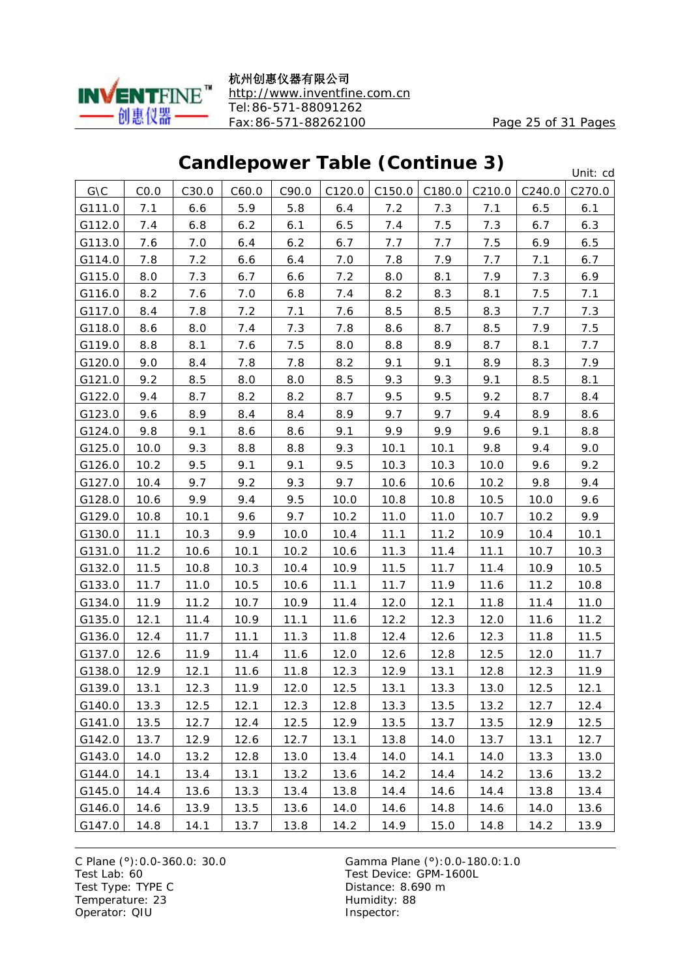

杭州创惠仪器有限公司 <http://www.inventfine.com.cn> Tel:86-571-88091262 Fax:86-571-88262100 Page 25 of 31 Pages

### **Candlepower Table (Continue 3)**

Unit: cd

|                    |      |       |       |       |        |        |        |        |        | טיוונ. טע |
|--------------------|------|-------|-------|-------|--------|--------|--------|--------|--------|-----------|
| $G\setminus C$     | CO.0 | C30.0 | C60.0 | C90.0 | C120.0 | C150.0 | C180.0 | C210.0 | C240.0 | C270.0    |
| G111.0             | 7.1  | 6.6   | 5.9   | 5.8   | 6.4    | 7.2    | 7.3    | 7.1    | 6.5    | 6.1       |
| G112.0             | 7.4  | 6.8   | 6.2   | 6.1   | 6.5    | 7.4    | 7.5    | 7.3    | 6.7    | 6.3       |
| G113.0             | 7.6  | 7.0   | 6.4   | 6.2   | 6.7    | 7.7    | 7.7    | 7.5    | 6.9    | 6.5       |
| G114.0             | 7.8  | 7.2   | 6.6   | 6.4   | 7.0    | 7.8    | 7.9    | 7.7    | 7.1    | 6.7       |
| G115.0             | 8.0  | 7.3   | 6.7   | 6.6   | 7.2    | 8.0    | 8.1    | 7.9    | 7.3    | 6.9       |
| G116.0             | 8.2  | 7.6   | 7.0   | 6.8   | 7.4    | 8.2    | 8.3    | 8.1    | 7.5    | 7.1       |
| G117.0             | 8.4  | 7.8   | 7.2   | 7.1   | 7.6    | 8.5    | 8.5    | 8.3    | 7.7    | 7.3       |
| G118.0             | 8.6  | 8.0   | 7.4   | 7.3   | 7.8    | 8.6    | 8.7    | 8.5    | 7.9    | 7.5       |
| G119.0             | 8.8  | 8.1   | 7.6   | 7.5   | 8.0    | 8.8    | 8.9    | 8.7    | 8.1    | 7.7       |
| G120.0             | 9.0  | 8.4   | 7.8   | 7.8   | 8.2    | 9.1    | 9.1    | 8.9    | 8.3    | 7.9       |
| G121.0             | 9.2  | 8.5   | 8.0   | 8.0   | 8.5    | 9.3    | 9.3    | 9.1    | 8.5    | 8.1       |
| G122.0             | 9.4  | 8.7   | 8.2   | 8.2   | 8.7    | 9.5    | 9.5    | 9.2    | 8.7    | 8.4       |
| G123.0             | 9.6  | 8.9   | 8.4   | 8.4   | 8.9    | 9.7    | 9.7    | 9.4    | 8.9    | 8.6       |
| G124.0             | 9.8  | 9.1   | 8.6   | 8.6   | 9.1    | 9.9    | 9.9    | 9.6    | 9.1    | 8.8       |
| G125.0             | 10.0 | 9.3   | 8.8   | 8.8   | 9.3    | 10.1   | 10.1   | 9.8    | 9.4    | 9.0       |
| G126.0             | 10.2 | 9.5   | 9.1   | 9.1   | 9.5    | 10.3   | 10.3   | 10.0   | 9.6    | 9.2       |
| G127.0             | 10.4 | 9.7   | 9.2   | 9.3   | 9.7    | 10.6   | 10.6   | 10.2   | 9.8    | 9.4       |
| G128.0             | 10.6 | 9.9   | 9.4   | 9.5   | 10.0   | 10.8   | 10.8   | 10.5   | 10.0   | 9.6       |
| G <sub>129.0</sub> | 10.8 | 10.1  | 9.6   | 9.7   | 10.2   | 11.0   | 11.0   | 10.7   | 10.2   | 9.9       |
| G130.0             | 11.1 | 10.3  | 9.9   | 10.0  | 10.4   | 11.1   | 11.2   | 10.9   | 10.4   | 10.1      |
| G131.0             | 11.2 | 10.6  | 10.1  | 10.2  | 10.6   | 11.3   | 11.4   | 11.1   | 10.7   | 10.3      |
| G132.0             | 11.5 | 10.8  | 10.3  | 10.4  | 10.9   | 11.5   | 11.7   | 11.4   | 10.9   | 10.5      |
| G133.0             | 11.7 | 11.0  | 10.5  | 10.6  | 11.1   | 11.7   | 11.9   | 11.6   | 11.2   | 10.8      |
| G134.0             | 11.9 | 11.2  | 10.7  | 10.9  | 11.4   | 12.0   | 12.1   | 11.8   | 11.4   | 11.0      |
| G135.0             | 12.1 | 11.4  | 10.9  | 11.1  | 11.6   | 12.2   | 12.3   | 12.0   | 11.6   | 11.2      |
| G136.0             | 12.4 | 11.7  | 11.1  | 11.3  | 11.8   | 12.4   | 12.6   | 12.3   | 11.8   | 11.5      |
| G137.0             | 12.6 | 11.9  | 11.4  | 11.6  | 12.0   | 12.6   | 12.8   | 12.5   | 12.0   | 11.7      |
| G138.0             | 12.9 | 12.1  | 11.6  | 11.8  | 12.3   | 12.9   | 13.1   | 12.8   | 12.3   | 11.9      |
| G139.0             | 13.1 | 12.3  | 11.9  | 12.0  | 12.5   | 13.1   | 13.3   | 13.0   | 12.5   | 12.1      |
| G140.0             | 13.3 | 12.5  | 12.1  | 12.3  | 12.8   | 13.3   | 13.5   | 13.2   | 12.7   | 12.4      |
| G141.0             | 13.5 | 12.7  | 12.4  | 12.5  | 12.9   | 13.5   | 13.7   | 13.5   | 12.9   | 12.5      |
| G142.0             | 13.7 | 12.9  | 12.6  | 12.7  | 13.1   | 13.8   | 14.0   | 13.7   | 13.1   | 12.7      |
| G143.0             | 14.0 | 13.2  | 12.8  | 13.0  | 13.4   | 14.0   | 14.1   | 14.0   | 13.3   | 13.0      |
| G144.0             | 14.1 | 13.4  | 13.1  | 13.2  | 13.6   | 14.2   | 14.4   | 14.2   | 13.6   | 13.2      |
| G145.0             | 14.4 | 13.6  | 13.3  | 13.4  | 13.8   | 14.4   | 14.6   | 14.4   | 13.8   | 13.4      |
| G146.0             | 14.6 | 13.9  | 13.5  | 13.6  | 14.0   | 14.6   | 14.8   | 14.6   | 14.0   | 13.6      |
| G147.0             | 14.8 | 14.1  | 13.7  | 13.8  | 14.2   | 14.9   | 15.0   | 14.8   | 14.2   | 13.9      |

Test Type: TYPE C<br>
Temperature: 23<br>
Temperature: 23<br>
Distance: 8.690 m Temperature: 23 Operator: QIU Inspector: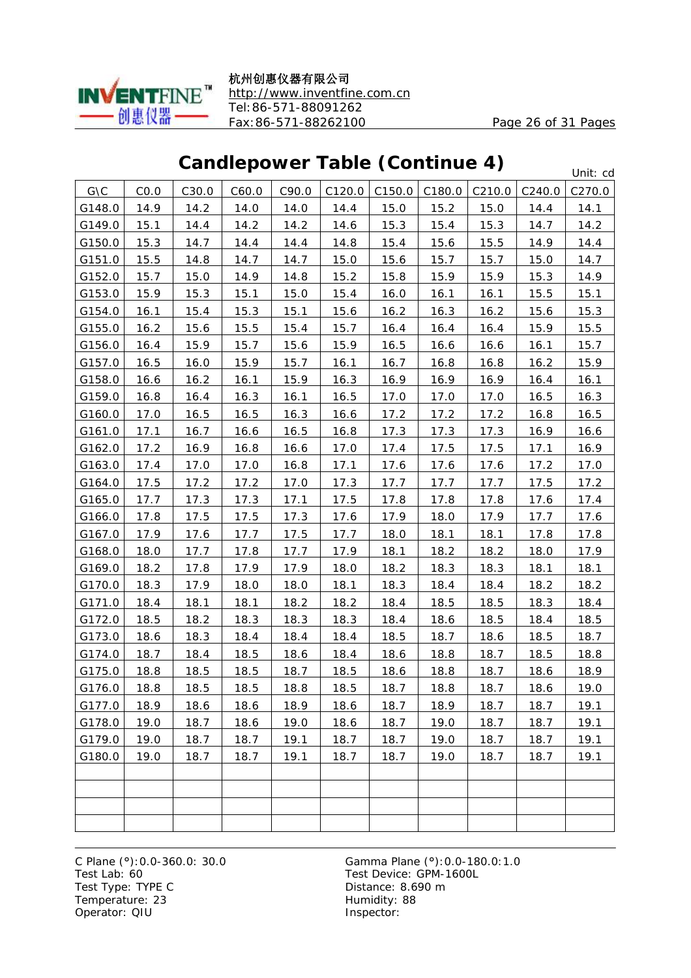

杭州创惠仪器有限公司 <http://www.inventfine.com.cn> Tel:86-571-88091262 Fax:86-571-88262100 Page 26 of 31 Pages

### **Candlepower Table (Continue 4)**

Unit: cd

|                |      |       |       |       |        |        |        |        |        | onnu va            |
|----------------|------|-------|-------|-------|--------|--------|--------|--------|--------|--------------------|
| $G\setminus C$ | CO.0 | C30.0 | C60.0 | C90.0 | C120.0 | C150.0 | C180.0 | C210.0 | C240.0 | C <sub>270.0</sub> |
| G148.0         | 14.9 | 14.2  | 14.0  | 14.0  | 14.4   | 15.0   | 15.2   | 15.0   | 14.4   | 14.1               |
| G149.0         | 15.1 | 14.4  | 14.2  | 14.2  | 14.6   | 15.3   | 15.4   | 15.3   | 14.7   | 14.2               |
| G150.0         | 15.3 | 14.7  | 14.4  | 14.4  | 14.8   | 15.4   | 15.6   | 15.5   | 14.9   | 14.4               |
| G151.0         | 15.5 | 14.8  | 14.7  | 14.7  | 15.0   | 15.6   | 15.7   | 15.7   | 15.0   | 14.7               |
| G152.0         | 15.7 | 15.0  | 14.9  | 14.8  | 15.2   | 15.8   | 15.9   | 15.9   | 15.3   | 14.9               |
| G153.0         | 15.9 | 15.3  | 15.1  | 15.0  | 15.4   | 16.0   | 16.1   | 16.1   | 15.5   | 15.1               |
| G154.0         | 16.1 | 15.4  | 15.3  | 15.1  | 15.6   | 16.2   | 16.3   | 16.2   | 15.6   | 15.3               |
| G155.0         | 16.2 | 15.6  | 15.5  | 15.4  | 15.7   | 16.4   | 16.4   | 16.4   | 15.9   | 15.5               |
| G156.0         | 16.4 | 15.9  | 15.7  | 15.6  | 15.9   | 16.5   | 16.6   | 16.6   | 16.1   | 15.7               |
| G157.0         | 16.5 | 16.0  | 15.9  | 15.7  | 16.1   | 16.7   | 16.8   | 16.8   | 16.2   | 15.9               |
| G158.0         | 16.6 | 16.2  | 16.1  | 15.9  | 16.3   | 16.9   | 16.9   | 16.9   | 16.4   | 16.1               |
| G159.0         | 16.8 | 16.4  | 16.3  | 16.1  | 16.5   | 17.0   | 17.0   | 17.0   | 16.5   | 16.3               |
| G160.0         | 17.0 | 16.5  | 16.5  | 16.3  | 16.6   | 17.2   | 17.2   | 17.2   | 16.8   | 16.5               |
| G161.0         | 17.1 | 16.7  | 16.6  | 16.5  | 16.8   | 17.3   | 17.3   | 17.3   | 16.9   | 16.6               |
| G162.0         | 17.2 | 16.9  | 16.8  | 16.6  | 17.0   | 17.4   | 17.5   | 17.5   | 17.1   | 16.9               |
| G163.0         | 17.4 | 17.0  | 17.0  | 16.8  | 17.1   | 17.6   | 17.6   | 17.6   | 17.2   | 17.0               |
| G164.0         | 17.5 | 17.2  | 17.2  | 17.0  | 17.3   | 17.7   | 17.7   | 17.7   | 17.5   | 17.2               |
| G165.0         | 17.7 | 17.3  | 17.3  | 17.1  | 17.5   | 17.8   | 17.8   | 17.8   | 17.6   | 17.4               |
| G166.0         | 17.8 | 17.5  | 17.5  | 17.3  | 17.6   | 17.9   | 18.0   | 17.9   | 17.7   | 17.6               |
| G167.0         | 17.9 | 17.6  | 17.7  | 17.5  | 17.7   | 18.0   | 18.1   | 18.1   | 17.8   | 17.8               |
| G168.0         | 18.0 | 17.7  | 17.8  | 17.7  | 17.9   | 18.1   | 18.2   | 18.2   | 18.0   | 17.9               |
| G169.0         | 18.2 | 17.8  | 17.9  | 17.9  | 18.0   | 18.2   | 18.3   | 18.3   | 18.1   | 18.1               |
| G170.0         | 18.3 | 17.9  | 18.0  | 18.0  | 18.1   | 18.3   | 18.4   | 18.4   | 18.2   | 18.2               |
| G171.0         | 18.4 | 18.1  | 18.1  | 18.2  | 18.2   | 18.4   | 18.5   | 18.5   | 18.3   | 18.4               |
| G172.0         | 18.5 | 18.2  | 18.3  | 18.3  | 18.3   | 18.4   | 18.6   | 18.5   | 18.4   | 18.5               |
| G173.0         | 18.6 | 18.3  | 18.4  | 18.4  | 18.4   | 18.5   | 18.7   | 18.6   | 18.5   | 18.7               |
| G174.0         | 18.7 | 18.4  | 18.5  | 18.6  | 18.4   | 18.6   | 18.8   | 18.7   | 18.5   | 18.8               |
| G175.0         | 18.8 | 18.5  | 18.5  | 18.7  | 18.5   | 18.6   | 18.8   | 18.7   | 18.6   | 18.9               |
| G176.0         | 18.8 | 18.5  | 18.5  | 18.8  | 18.5   | 18.7   | 18.8   | 18.7   | 18.6   | 19.0               |
| G177.0         | 18.9 | 18.6  | 18.6  | 18.9  | 18.6   | 18.7   | 18.9   | 18.7   | 18.7   | 19.1               |
| G178.0         | 19.0 | 18.7  | 18.6  | 19.0  | 18.6   | 18.7   | 19.0   | 18.7   | 18.7   | 19.1               |
| G179.0         | 19.0 | 18.7  | 18.7  | 19.1  | 18.7   | 18.7   | 19.0   | 18.7   | 18.7   | 19.1               |
| G180.0         | 19.0 | 18.7  | 18.7  | 19.1  | 18.7   | 18.7   | 19.0   | 18.7   | 18.7   | 19.1               |
|                |      |       |       |       |        |        |        |        |        |                    |
|                |      |       |       |       |        |        |        |        |        |                    |
|                |      |       |       |       |        |        |        |        |        |                    |
|                |      |       |       |       |        |        |        |        |        |                    |

Test Type: TYPE C<br>
Temperature: 23<br>
Temperature: 23<br>
Distance: 8.690 m Temperature: 23 Operator: QIU Inspector: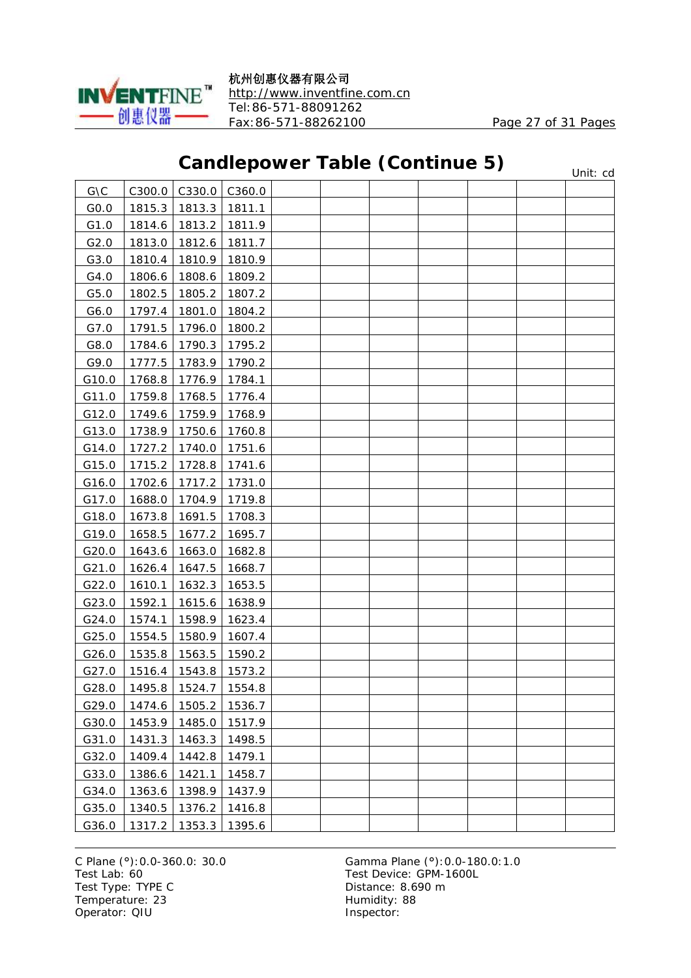

杭州创惠仪器有限公司 <http://www.inventfine.com.cn> Tel:86-571-88091262 Fax:86-571-88262100 Page 27 of 31 Pages

### **Candlepower Table (Continue 5)**

|                |        |        |        | canalopower Table (commune b) |  |  | Unit: cd |
|----------------|--------|--------|--------|-------------------------------|--|--|----------|
| $G\setminus C$ | C300.0 | C330.0 | C360.0 |                               |  |  |          |
| GO.0           | 1815.3 | 1813.3 | 1811.1 |                               |  |  |          |
| G1.0           | 1814.6 | 1813.2 | 1811.9 |                               |  |  |          |
| G2.0           | 1813.0 | 1812.6 | 1811.7 |                               |  |  |          |
| G3.0           | 1810.4 | 1810.9 | 1810.9 |                               |  |  |          |
| G4.0           | 1806.6 | 1808.6 | 1809.2 |                               |  |  |          |
| G5.0           | 1802.5 | 1805.2 | 1807.2 |                               |  |  |          |
| G6.0           | 1797.4 | 1801.0 | 1804.2 |                               |  |  |          |
| G7.0           | 1791.5 | 1796.0 | 1800.2 |                               |  |  |          |
| G8.0           | 1784.6 | 1790.3 | 1795.2 |                               |  |  |          |
| G9.0           | 1777.5 | 1783.9 | 1790.2 |                               |  |  |          |
| G10.0          | 1768.8 | 1776.9 | 1784.1 |                               |  |  |          |
| G11.0          | 1759.8 | 1768.5 | 1776.4 |                               |  |  |          |
| G12.0          | 1749.6 | 1759.9 | 1768.9 |                               |  |  |          |
| G13.0          | 1738.9 | 1750.6 | 1760.8 |                               |  |  |          |
| G14.0          | 1727.2 | 1740.0 | 1751.6 |                               |  |  |          |
| G15.0          | 1715.2 | 1728.8 | 1741.6 |                               |  |  |          |
| G16.0          | 1702.6 | 1717.2 | 1731.0 |                               |  |  |          |
| G17.0          | 1688.0 | 1704.9 | 1719.8 |                               |  |  |          |
| G18.0          | 1673.8 | 1691.5 | 1708.3 |                               |  |  |          |
| G19.0          | 1658.5 | 1677.2 | 1695.7 |                               |  |  |          |
| G20.0          | 1643.6 | 1663.0 | 1682.8 |                               |  |  |          |
| G21.0          | 1626.4 | 1647.5 | 1668.7 |                               |  |  |          |
| G22.0          | 1610.1 | 1632.3 | 1653.5 |                               |  |  |          |
| G23.0          | 1592.1 | 1615.6 | 1638.9 |                               |  |  |          |
| G24.0          | 1574.1 | 1598.9 | 1623.4 |                               |  |  |          |
| G25.0          | 1554.5 | 1580.9 | 1607.4 |                               |  |  |          |
| G26.0          | 1535.8 | 1563.5 | 1590.2 |                               |  |  |          |
| G27.0          | 1516.4 | 1543.8 | 1573.2 |                               |  |  |          |
| G28.0          | 1495.8 | 1524.7 | 1554.8 |                               |  |  |          |
| G29.0          | 1474.6 | 1505.2 | 1536.7 |                               |  |  |          |
| G30.0          | 1453.9 | 1485.0 | 1517.9 |                               |  |  |          |
| G31.0          | 1431.3 | 1463.3 | 1498.5 |                               |  |  |          |
| G32.0          | 1409.4 | 1442.8 | 1479.1 |                               |  |  |          |
| G33.0          | 1386.6 | 1421.1 | 1458.7 |                               |  |  |          |
| G34.0          | 1363.6 | 1398.9 | 1437.9 |                               |  |  |          |
| G35.0          | 1340.5 | 1376.2 | 1416.8 |                               |  |  |          |
| G36.0          | 1317.2 | 1353.3 | 1395.6 |                               |  |  |          |

Test Type: TYPE C<br>
Temperature: 23<br>
Temperature: 23<br>
Distance: 8.690 m Temperature: 23 Operator: QIU Inspector: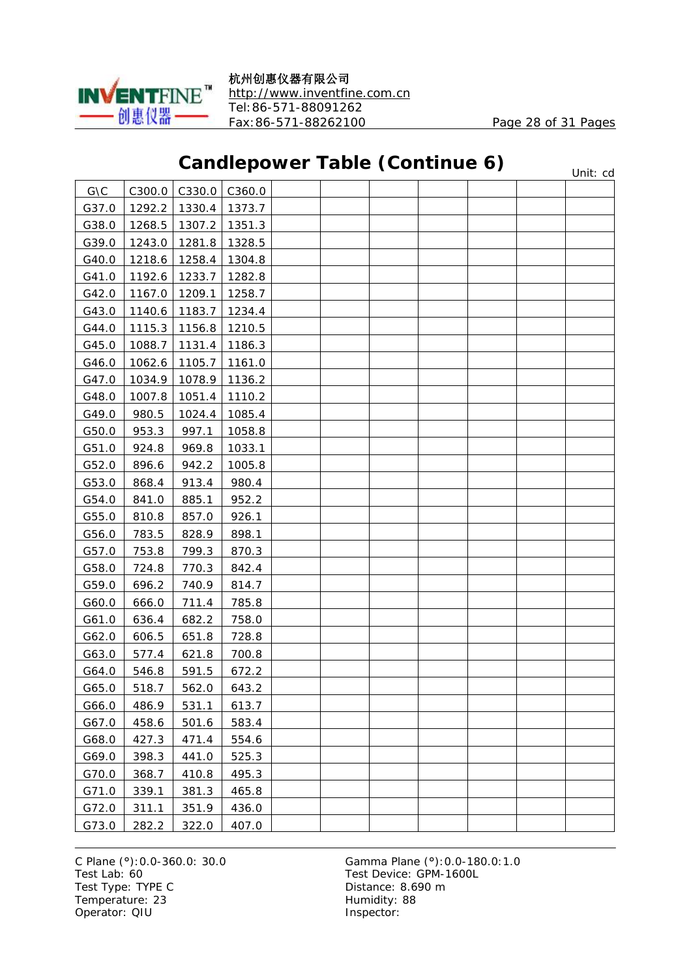

杭州创惠仪器有限公司 <http://www.inventfine.com.cn> Tel:86-571-88091262 Fax:86-571-88262100 Page 28 of 31 Pages

Unit: cd

### **Candlepower Table (Continue 6)**

| $G\setminus C$ | C300.0 | C330.0 | C360.0 |  |  |  |  |
|----------------|--------|--------|--------|--|--|--|--|
| G37.0          | 1292.2 | 1330.4 | 1373.7 |  |  |  |  |
| G38.0          | 1268.5 | 1307.2 | 1351.3 |  |  |  |  |
| G39.0          | 1243.0 | 1281.8 | 1328.5 |  |  |  |  |
| G40.0          | 1218.6 | 1258.4 | 1304.8 |  |  |  |  |
| G41.0          | 1192.6 | 1233.7 | 1282.8 |  |  |  |  |
| G42.0          | 1167.0 | 1209.1 | 1258.7 |  |  |  |  |
| G43.0          | 1140.6 | 1183.7 | 1234.4 |  |  |  |  |
| G44.0          | 1115.3 | 1156.8 | 1210.5 |  |  |  |  |
| G45.0          | 1088.7 | 1131.4 | 1186.3 |  |  |  |  |
| G46.0          | 1062.6 | 1105.7 | 1161.0 |  |  |  |  |
| G47.0          | 1034.9 | 1078.9 | 1136.2 |  |  |  |  |
| G48.0          | 1007.8 | 1051.4 | 1110.2 |  |  |  |  |
| G49.0          | 980.5  | 1024.4 | 1085.4 |  |  |  |  |
| G50.0          | 953.3  | 997.1  | 1058.8 |  |  |  |  |
| G51.0          | 924.8  | 969.8  | 1033.1 |  |  |  |  |
| G52.0          | 896.6  | 942.2  | 1005.8 |  |  |  |  |
| G53.0          | 868.4  | 913.4  | 980.4  |  |  |  |  |
| G54.0          | 841.0  | 885.1  | 952.2  |  |  |  |  |
| G55.0          | 810.8  | 857.0  | 926.1  |  |  |  |  |
| G56.0          | 783.5  | 828.9  | 898.1  |  |  |  |  |
| G57.0          | 753.8  | 799.3  | 870.3  |  |  |  |  |
| G58.0          | 724.8  | 770.3  | 842.4  |  |  |  |  |
| G59.0          | 696.2  | 740.9  | 814.7  |  |  |  |  |
| G60.0          | 666.0  | 711.4  | 785.8  |  |  |  |  |
| G61.0          | 636.4  | 682.2  | 758.0  |  |  |  |  |
| G62.0          | 606.5  | 651.8  | 728.8  |  |  |  |  |
| G63.0          | 577.4  | 621.8  | 700.8  |  |  |  |  |
| G64.0          | 546.8  | 591.5  | 672.2  |  |  |  |  |
| G65.0          | 518.7  | 562.0  | 643.2  |  |  |  |  |
| G66.0          | 486.9  | 531.1  | 613.7  |  |  |  |  |
| G67.0          | 458.6  | 501.6  | 583.4  |  |  |  |  |
| G68.0          | 427.3  | 471.4  | 554.6  |  |  |  |  |
| G69.0          | 398.3  | 441.0  | 525.3  |  |  |  |  |
| G70.0          | 368.7  | 410.8  | 495.3  |  |  |  |  |
| G71.0          | 339.1  | 381.3  | 465.8  |  |  |  |  |
| G72.0          | 311.1  | 351.9  | 436.0  |  |  |  |  |
| G73.0          | 282.2  | 322.0  | 407.0  |  |  |  |  |

Test Type: TYPE C Distance: 8.690 m Temperature: 23 Humidity: 88 Operator: QIU Inspector: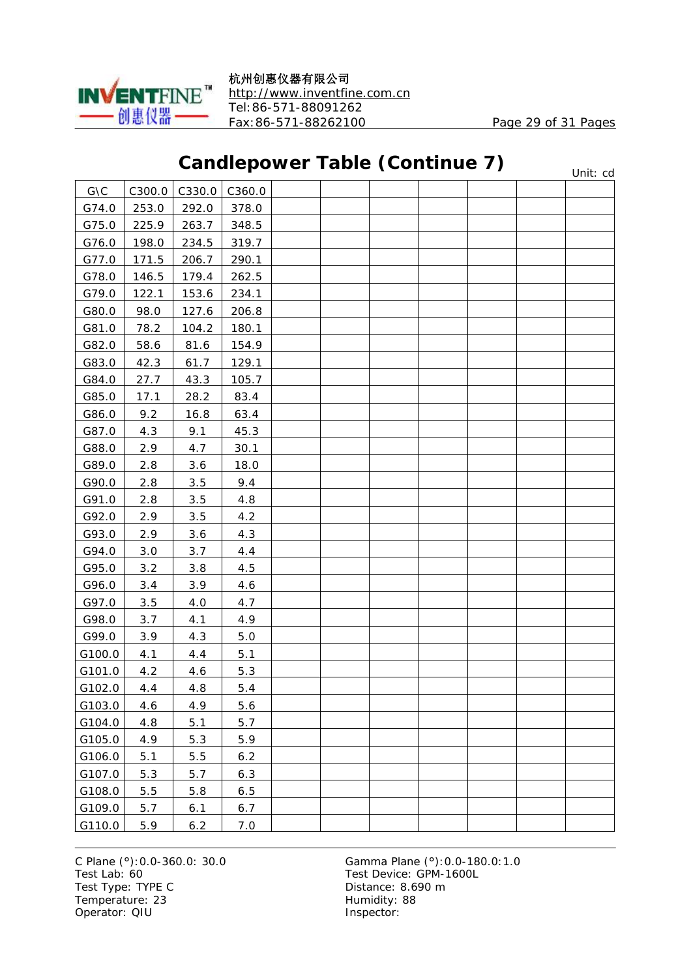

### **Candlepower Table (Continue 7)**

|                |        |        |         | canalopower rapic (commac r) |  |  | Unit: cd |
|----------------|--------|--------|---------|------------------------------|--|--|----------|
| $G\setminus C$ | C300.0 | C330.0 | C360.0  |                              |  |  |          |
| G74.0          | 253.0  | 292.0  | 378.0   |                              |  |  |          |
| G75.0          | 225.9  | 263.7  | 348.5   |                              |  |  |          |
| G76.0          | 198.0  | 234.5  | 319.7   |                              |  |  |          |
| G77.0          | 171.5  | 206.7  | 290.1   |                              |  |  |          |
| G78.0          | 146.5  | 179.4  | 262.5   |                              |  |  |          |
| G79.0          | 122.1  | 153.6  | 234.1   |                              |  |  |          |
| G80.0          | 98.0   | 127.6  | 206.8   |                              |  |  |          |
| G81.0          | 78.2   | 104.2  | 180.1   |                              |  |  |          |
| G82.0          | 58.6   | 81.6   | 154.9   |                              |  |  |          |
| G83.0          | 42.3   | 61.7   | 129.1   |                              |  |  |          |
| G84.0          | 27.7   | 43.3   | 105.7   |                              |  |  |          |
| G85.0          | 17.1   | 28.2   | 83.4    |                              |  |  |          |
| G86.0          | 9.2    | 16.8   | 63.4    |                              |  |  |          |
| G87.0          | 4.3    | 9.1    | 45.3    |                              |  |  |          |
| G88.0          | 2.9    | 4.7    | 30.1    |                              |  |  |          |
| G89.0          | 2.8    | 3.6    | 18.0    |                              |  |  |          |
| G90.0          | 2.8    | 3.5    | 9.4     |                              |  |  |          |
| G91.0          | 2.8    | 3.5    | 4.8     |                              |  |  |          |
| G92.0          | 2.9    | 3.5    | 4.2     |                              |  |  |          |
| G93.0          | 2.9    | 3.6    | 4.3     |                              |  |  |          |
| G94.0          | 3.0    | 3.7    | 4.4     |                              |  |  |          |
| G95.0          | 3.2    | 3.8    | 4.5     |                              |  |  |          |
| G96.0          | 3.4    | 3.9    | 4.6     |                              |  |  |          |
| G97.0          | 3.5    | $4.0$  | 4.7     |                              |  |  |          |
| G98.0          | 3.7    | 4.1    | 4.9     |                              |  |  |          |
| G99.0          | 3.9    | 4.3    | $5.0\,$ |                              |  |  |          |
| G100.0         | 4.1    | 4.4    | 5.1     |                              |  |  |          |
| G101.0         | 4.2    | 4.6    | 5.3     |                              |  |  |          |
| G102.0         | 4.4    | 4.8    | 5.4     |                              |  |  |          |
| G103.0         | 4.6    | 4.9    | 5.6     |                              |  |  |          |
| G104.0         | 4.8    | 5.1    | 5.7     |                              |  |  |          |
| G105.0         | 4.9    | 5.3    | 5.9     |                              |  |  |          |
| G106.0         | 5.1    | 5.5    | 6.2     |                              |  |  |          |
| G107.0         | 5.3    | 5.7    | 6.3     |                              |  |  |          |
| G108.0         | 5.5    | 5.8    | 6.5     |                              |  |  |          |
| G109.0         | 5.7    | 6.1    | 6.7     |                              |  |  |          |
| G110.0         | 5.9    | 6.2    | 7.0     |                              |  |  |          |

Test Type: TYPE C<br>
Temperature: 23<br>
Temperature: 23<br>
Distance: 8.690 m Temperature: 23 Operator: QIU Inspector: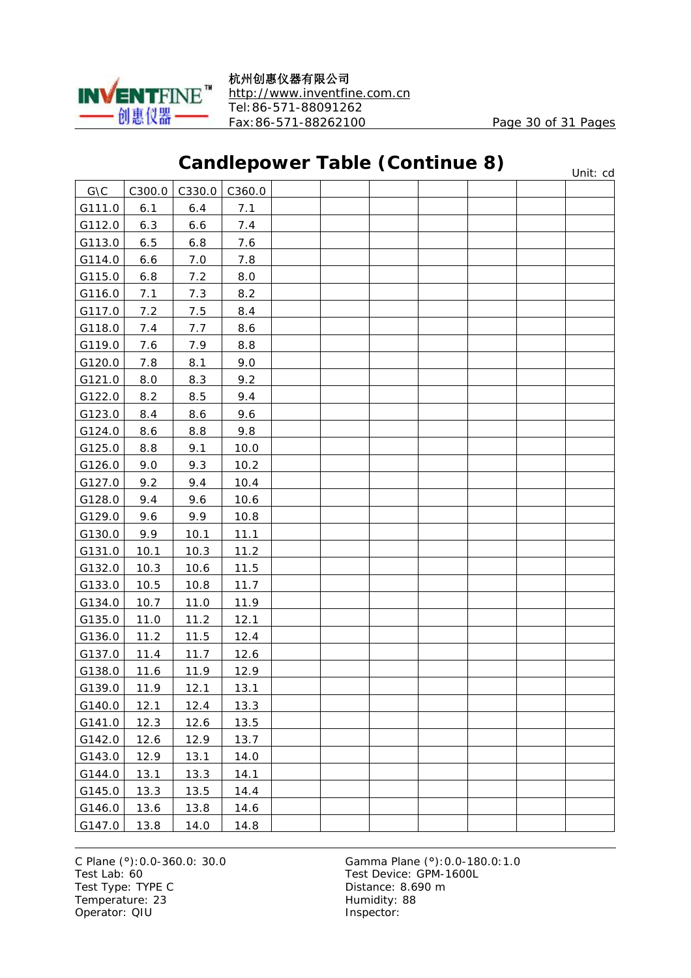

#### **Candlepower Table (Continue 8)**

 $G \setminus C$   $\Big|$  C300.0  $\Big|$  C330.0  $\Big|$  C360.0 G111.0 6.1 6.4 7.1 G112.0 6.3 6.6 7.4 G113.0 6.5 6.8 7.6 G114.0 6.6 7.0 7.8 G115.0 6.8 7.2 8.0 G116.0 7.1 7.3 8.2 G117.0 7.2 7.5 8.4 G118.0 7.4 7.7 8.6 G119.0 7.6 7.9 8.8 G120.0 7.8 8.1 9.0 G121.0 8.0 8.3 9.2 G122.0 8.2  $\begin{array}{|c|c|c|c|c|c|} \hline \end{array}$  8.5  $\begin{array}{|c|c|c|c|c|} \hline \end{array}$  9.4 G123.0 8.4 8.6 9.6  $G124.0$  8.6 8.8 9.8  $G125.0$  8.8 9.1 0.0  $G126.0$  9.0 9.3 10.2 G127.0 9.2 9.4 10.4 G128.0 9.4 9.6 10.6 G129.0 9.6 9.9 10.8  $G130.0$  9.9 10.1 11.1 G131.0 10.1 10.3 11.2 G132.0 10.3 10.6 11.5  $G133.0$  10.5 10.8 11.7 G134.0 10.7 11.0 11.9  $G135.0$  11.0 11.2 12.1 G136.0 11.2 11.5 12.4 G137.0 11.4 11.7 12.6 G138.0 11.6 11.9 12.9 G139.0 11.9 12.1 13.1 G140.0 12.1 12.4 13.3 G141.0 12.3 12.6 13.5  $G142.0$  12.6 12.9 13.7  $G143.0$  12.9 13.1 14.0  $G144.0$  13.1 13.3 14.1  $G145.0$  13.3 13.5 14.4  $G146.0$  13.6 13.8 14.6  $G147.0$  13.8 14.0 14.8 Unit: cd

Test Lab: 60 Test Device: GPM-1600L Test Type: TYPE C Distance: 8.690 m Temperature: 23 Humidity: 88 Operator: QIU inspector: